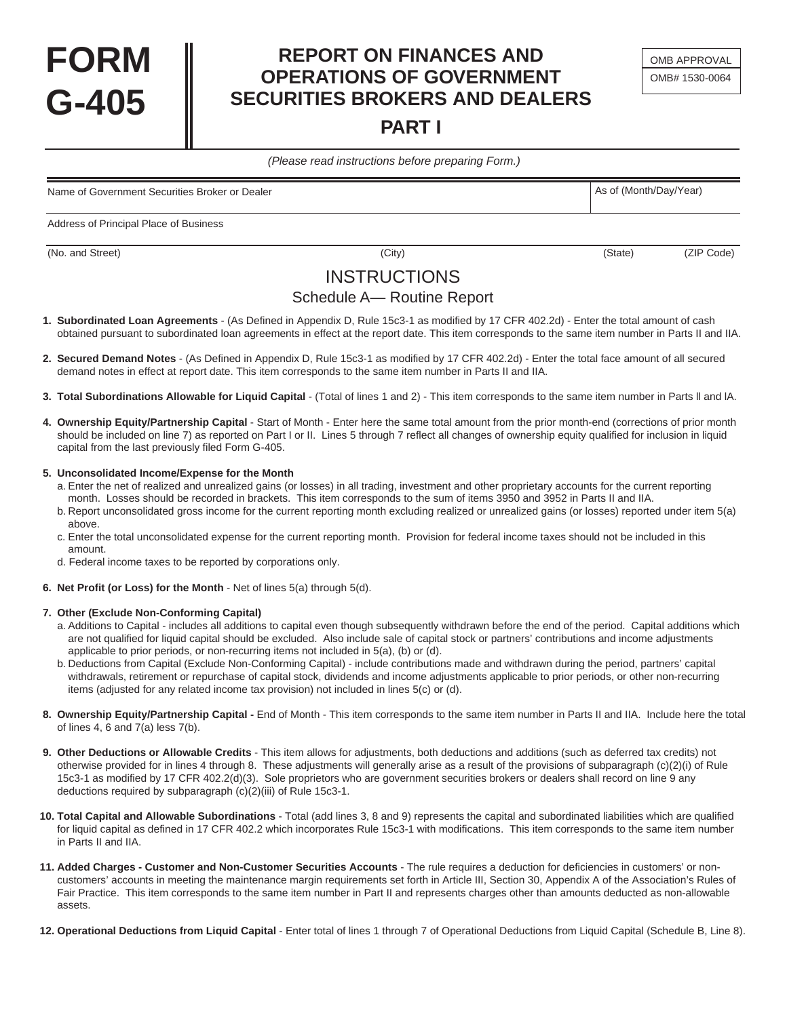## **REPORT ON FINANCES AND OPERATIONS OF GOVERNMENT SECURITIES BROKERS AND DEALERS**

**PART I** 

(Please read instructions before preparing Form.)

Name of Government Securities Broker or Dealer As of (Month/Day/Year) As of (Month/Day/Year)

Address of Principal Place of Business

(No. and Street) (City) (No. and Street) (City) (State) (State) (State) (ZIP Code)

**FORM** 

**G-405**

### **INSTRUCTIONS**

### Schedule A— Routine Report

- **1. Subordinated Loan Agreements**  (As Defined in Appendix D, Rule 15c3-1 as modified by 17 CFR 402.2d) Enter the total amount of cash obtained pursuant to subordinated loan agreements in effect at the report date. This item corresponds to the same item number in Parts II and IIA.
- **2. Secured Demand Notes**  (As Defined in Appendix D, Rule 15c3-1 as modified by 17 CFR 402.2d) Enter the total face amount of all secured demand notes in effect at report date. This item corresponds to the same item number in Parts II and IIA.
- **3. Total Subordinations Allowable for Liquid Capital**  (Total of lines 1 and 2) This item corresponds to the same item number in Parts ll and lA.
- **4. Ownership Equity/Partnership Capital**  Start of Month Enter here the same total amount from the prior month-end (corrections of prior month should be included on line 7) as reported on Part I or II. Lines 5 through 7 reflect all changes of ownership equity qualified for inclusion in liquid capital from the last previously filed Form G-405.

#### **5. Unconsolidated Income/Expense for the Month**

a. Enter the net of realized and unrealized gains (or losses) in all trading, investment and other proprietary accounts for the current reporting month. Losses should be recorded in brackets. This item corresponds to the sum of items 3950 and 3952 in Parts II and IIA.

- b. Report unconsolidated gross income for the current reporting month excluding realized or unrealized gains (or losses) reported under item 5(a) above.
- c. Enter the total unconsolidated expense for the current reporting month. Provision for federal income taxes should not be included in this amount.
- d. Federal income taxes to be reported by corporations only.
- **6. Net Profit (or Loss) for the Month**  Net of lines 5(a) through 5(d).

#### **7. Other (Exclude Non-Conforming Capital)**

- a. Additions to Capital includes all additions to capital even though subsequently withdrawn before the end of the period. Capital additions which are not qualified for liquid capital should be excluded. Also include sale of capital stock or partners' contributions and income adjustments applicable to prior periods, or non-recurring items not included in 5(a), (b) or (d).
- b. Deductions from Capital (Exclude Non-Conforming Capital) include contributions made and withdrawn during the period, partners' capital withdrawals, retirement or repurchase of capital stock, dividends and income adjustments applicable to prior periods, or other non-recurring items (adjusted for any related income tax provision) not included in lines 5(c) or (d).
- **8. Ownership Equity/Partnership Capital -** End of Month This item corresponds to the same item number in Parts II and IIA. Include here the total of lines 4, 6 and 7(a) less 7(b).
- **9. Other Deductions or Allowable Credits**  This item allows for adjustments, both deductions and additions (such as deferred tax credits) not otherwise provided for in lines 4 through 8. These adjustments will generally arise as a result of the provisions of subparagraph (c)(2)(i) of Rule 15c3-1 as modified by 17 CFR 402.2(d)(3). Sole proprietors who are government securities brokers or dealers shall record on line 9 any deductions required by subparagraph (c)(2)(iii) of Rule 15c3-1.
- **10. Total Capital and Allowable Subordinations**  Total (add lines 3, 8 and 9) represents the capital and subordinated liabilities which are qualified for liquid capital as defined in 17 CFR 402.2 which incorporates Rule 15c3-1 with modifications. This item corresponds to the same item number in Parts II and IIA.
- **11. Added Charges Customer and Non-Customer Securities Accounts**  The rule requires a deduction for deficiencies in customers' or noncustomers' accounts in meeting the maintenance margin requirements set forth in Article III, Section 30, Appendix A of the Association's Rules of Fair Practice. This item corresponds to the same item number in Part II and represents charges other than amounts deducted as non-allowable assets.
- **12. Operational Deductions from Liquid Capital**  Enter total of lines 1 through 7 of Operational Deductions from Liquid Capital (Schedule B, Line 8).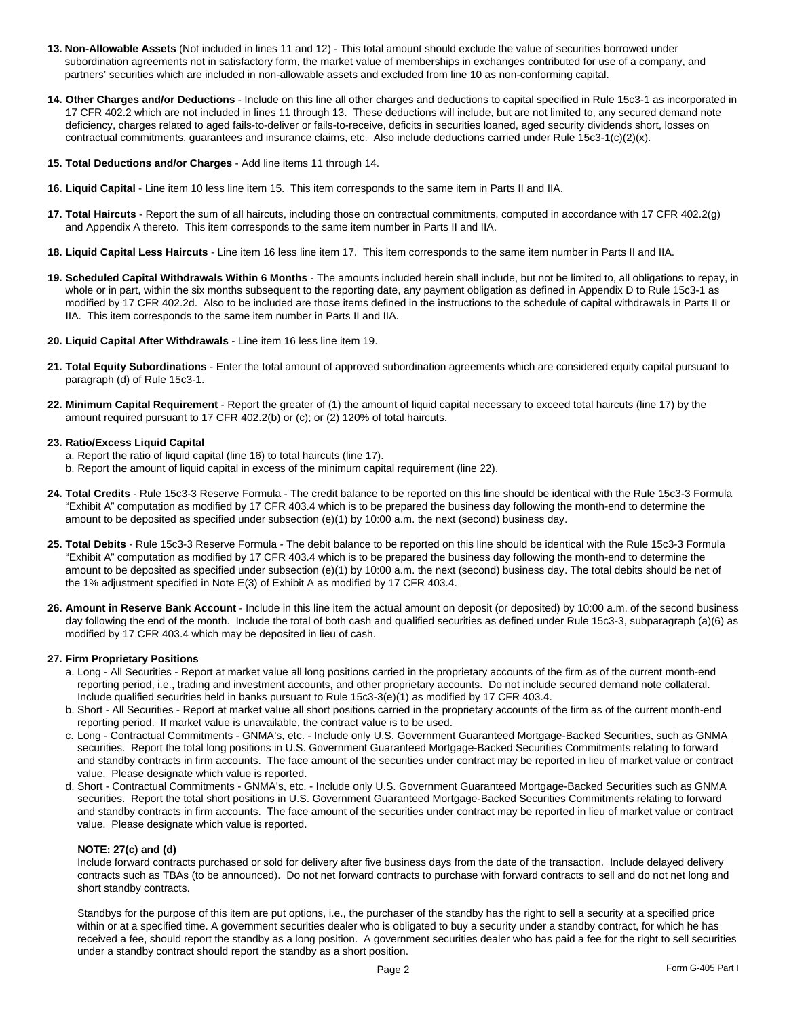- **13. Non-Allowable Assets** (Not included in lines 11 and 12) This total amount should exclude the value of securities borrowed under subordination agreements not in satisfactory form, the market value of memberships in exchanges contributed for use of a company, and partners' securities which are included in non-allowable assets and excluded from line 10 as non-conforming capital.
- **14. Other Charges and/or Deductions**  Include on this line all other charges and deductions to capital specified in Rule 15c3-1 as incorporated in 17 CFR 402.2 which are not included in lines 11 through 13. These deductions will include, but are not limited to, any secured demand note deficiency, charges related to aged fails-to-deliver or fails-to-receive, deficits in securities loaned, aged security dividends short, losses on contractual commitments, guarantees and insurance claims, etc. Also include deductions carried under Rule 15c3-1(c)(2)(x).
- **15. Total Deductions and/or Charges**  Add line items 11 through 14.
- **16. Liquid Capital**  Line item 10 less line item 15. This item corresponds to the same item in Parts II and IIA.
- **17. Total Haircuts**  Report the sum of all haircuts, including those on contractual commitments, computed in accordance with 17 CFR 402.2(g) and Appendix A thereto. This item corresponds to the same item number in Parts II and IIA.
- **18. Liquid Capital Less Haircuts**  Line item 16 less line item 17. This item corresponds to the same item number in Parts II and IIA.
- **19. Scheduled Capital Withdrawals Within 6 Months**  The amounts included herein shall include, but not be limited to, all obligations to repay, in whole or in part, within the six months subsequent to the reporting date, any payment obligation as defined in Appendix D to Rule 15c3-1 as modified by 17 CFR 402.2d. Also to be included are those items defined in the instructions to the schedule of capital withdrawals in Parts II or IIA. This item corresponds to the same item number in Parts II and IIA.
- **20. Liquid Capital After Withdrawals**  Line item 16 less line item 19.
- **21. Total Equity Subordinations**  Enter the total amount of approved subordination agreements which are considered equity capital pursuant to paragraph (d) of Rule 15c3-1.
- **22. Minimum Capital Requirement**  Report the greater of (1) the amount of liquid capital necessary to exceed total haircuts (line 17) by the amount required pursuant to 17 CFR 402.2(b) or (c); or (2) 120% of total haircuts.

#### **23. Ratio/Excess Liquid Capital**

- a. Report the ratio of liquid capital (line 16) to total haircuts (line 17).
- b. Report the amount of liquid capital in excess of the minimum capital requirement (line 22).
- **24. Total Credits**  Rule 15c3-3 Reserve Formula The credit balance to be reported on this line should be identical with the Rule 15c3-3 Formula "Exhibit A" computation as modified by 17 CFR 403.4 which is to be prepared the business day following the month-end to determine the amount to be deposited as specified under subsection (e)(1) by 10:00 a.m. the next (second) business day.
- **25. Total Debits**  Rule 15c3-3 Reserve Formula The debit balance to be reported on this line should be identical with the Rule 15c3-3 Formula "Exhibit A" computation as modified by 17 CFR 403.4 which is to be prepared the business day following the month-end to determine the amount to be deposited as specified under subsection (e)(1) by 10:00 a.m. the next (second) business day. The total debits should be net of the 1% adjustment specified in Note E(3) of Exhibit A as modified by 17 CFR 403.4.
- **26. Amount in Reserve Bank Account**  Include in this line item the actual amount on deposit (or deposited) by 10:00 a.m. of the second business day following the end of the month. Include the total of both cash and qualified securities as defined under Rule 15c3-3, subparagraph (a)(6) as modified by 17 CFR 403.4 which may be deposited in lieu of cash.

#### **27. Firm Proprietary Positions**

- a. Long All Securities Report at market value all long positions carried in the proprietary accounts of the firm as of the current month-end reporting period, i.e., trading and investment accounts, and other proprietary accounts. Do not include secured demand note collateral. Include qualified securities held in banks pursuant to Rule 15c3-3(e)(1) as modified by 17 CFR 403.4.
- b. Short All Securities Report at market value all short positions carried in the proprietary accounts of the firm as of the current month-end reporting period. If market value is unavailable, the contract value is to be used.
- c. Long Contractual Commitments GNMA's, etc. Include only U.S. Government Guaranteed Mortgage-Backed Securities, such as GNMA securities. Report the total long positions in U.S. Government Guaranteed Mortgage-Backed Securities Commitments relating to forward and standby contracts in firm accounts. The face amount of the securities under contract may be reported in lieu of market value or contract value. Please designate which value is reported.
- d. Short Contractual Commitments GNMA's, etc. Include only U.S. Government Guaranteed Mortgage-Backed Securities such as GNMA securities. Report the total short positions in U.S. Government Guaranteed Mortgage-Backed Securities Commitments relating to forward and standby contracts in firm accounts. The face amount of the securities under contract may be reported in lieu of market value or contract value. Please designate which value is reported.

#### **NOTE: 27(c) and (d)**

Include forward contracts purchased or sold for delivery after five business days from the date of the transaction. Include delayed delivery contracts such as TBAs (to be announced). Do not net forward contracts to purchase with forward contracts to sell and do not net long and short standby contracts.

Standbys for the purpose of this item are put options, i.e., the purchaser of the standby has the right to sell a security at a specified price within or at a specified time. A government securities dealer who is obligated to buy a security under a standby contract, for which he has received a fee, should report the standby as a long position. A government securities dealer who has paid a fee for the right to sell securities under a standby contract should report the standby as a short position.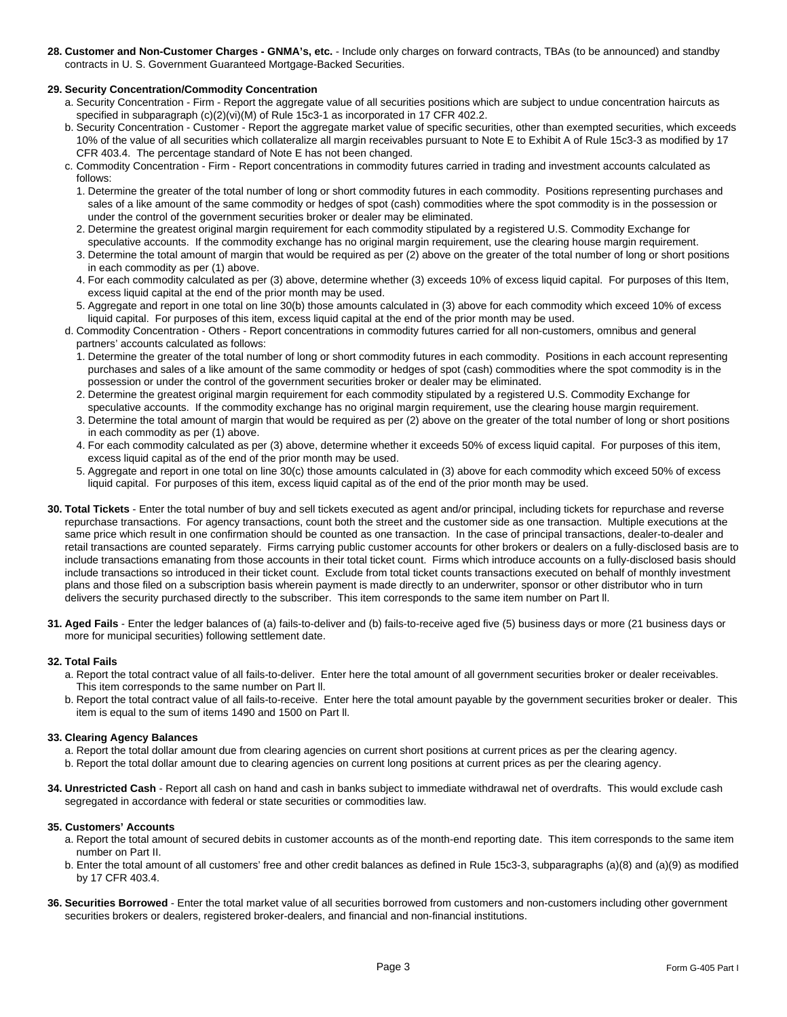**28. Customer and Non-Customer Charges - GNMA's, etc.** - Include only charges on forward contracts, TBAs (to be announced) and standby contracts in U. S. Government Guaranteed Mortgage-Backed Securities.

#### **29. Security Concentration/Commodity Concentration**

- a. Security Concentration Firm Report the aggregate value of all securities positions which are subject to undue concentration haircuts as specified in subparagraph (c)(2)(vi)(M) of Rule 15c3-1 as incorporated in 17 CFR 402.2.
- b. Security Concentration Customer Report the aggregate market value of specific securities, other than exempted securities, which exceeds 10% of the value of all securities which collateralize all margin receivables pursuant to Note E to Exhibit A of Rule 15c3-3 as modified by 17 CFR 403.4. The percentage standard of Note E has not been changed.
- c. Commodity Concentration Firm Report concentrations in commodity futures carried in trading and investment accounts calculated as follows:
	- 1. Determine the greater of the total number of long or short commodity futures in each commodity. Positions representing purchases and sales of a like amount of the same commodity or hedges of spot (cash) commodities where the spot commodity is in the possession or under the control of the government securities broker or dealer may be eliminated.
	- 2. Determine the greatest original margin requirement for each commodity stipulated by a registered U.S. Commodity Exchange for speculative accounts. If the commodity exchange has no original margin requirement, use the clearing house margin requirement.
	- 3. Determine the total amount of margin that would be required as per (2) above on the greater of the total number of long or short positions in each commodity as per (1) above.
	- 4. For each commodity calculated as per (3) above, determine whether (3) exceeds 10% of excess liquid capital. For purposes of this Item, excess liquid capital at the end of the prior month may be used.
	- 5. Aggregate and report in one total on line 30(b) those amounts calculated in (3) above for each commodity which exceed 10% of excess liquid capital. For purposes of this item, excess liquid capital at the end of the prior month may be used.
- d. Commodity Concentration Others Report concentrations in commodity futures carried for all non-customers, omnibus and general partners' accounts calculated as follows:
	- 1. Determine the greater of the total number of long or short commodity futures in each commodity. Positions in each account representing purchases and sales of a like amount of the same commodity or hedges of spot (cash) commodities where the spot commodity is in the possession or under the control of the government securities broker or dealer may be eliminated.
	- 2. Determine the greatest original margin requirement for each commodity stipulated by a registered U.S. Commodity Exchange for
	- speculative accounts. If the commodity exchange has no original margin requirement, use the clearing house margin requirement. 3. Determine the total amount of margin that would be required as per (2) above on the greater of the total number of long or short positions in each commodity as per (1) above.
	- 4. For each commodity calculated as per (3) above, determine whether it exceeds 50% of excess liquid capital. For purposes of this item, excess liquid capital as of the end of the prior month may be used.
	- 5. Aggregate and report in one total on line 30(c) those amounts calculated in (3) above for each commodity which exceed 50% of excess liquid capital. For purposes of this item, excess liquid capital as of the end of the prior month may be used.
- **30. Total Tickets**  Enter the total number of buy and sell tickets executed as agent and/or principal, including tickets for repurchase and reverse repurchase transactions. For agency transactions, count both the street and the customer side as one transaction. Multiple executions at the same price which result in one confirmation should be counted as one transaction. In the case of principal transactions, dealer-to-dealer and retail transactions are counted separately. Firms carrying public customer accounts for other brokers or dealers on a fully-disclosed basis are to include transactions emanating from those accounts in their total ticket count. Firms which introduce accounts on a fully-disclosed basis should include transactions so introduced in their ticket count. Exclude from total ticket counts transactions executed on behalf of monthly investment plans and those filed on a subscription basis wherein payment is made directly to an underwriter, sponsor or other distributor who in turn delivers the security purchased directly to the subscriber. This item corresponds to the same item number on Part ll.
- **31. Aged Fails**  Enter the ledger balances of (a) fails-to-deliver and (b) fails-to-receive aged five (5) business days or more (21 business days or more for municipal securities) following settlement date.

#### **32. Total Fails**

- a. Report the total contract value of all fails-to-deliver. Enter here the total amount of all government securities broker or dealer receivables. This item corresponds to the same number on Part ll.
- b. Report the total contract value of all fails-to-receive. Enter here the total amount payable by the government securities broker or dealer. This item is equal to the sum of items 1490 and 1500 on Part ll.

#### **33. Clearing Agency Balances**

- a. Report the total dollar amount due from clearing agencies on current short positions at current prices as per the clearing agency.
- b. Report the total dollar amount due to clearing agencies on current long positions at current prices as per the clearing agency.
- **34. Unrestricted Cash**  Report all cash on hand and cash in banks subject to immediate withdrawal net of overdrafts. This would exclude cash segregated in accordance with federal or state securities or commodities law.

#### **35. Customers' Accounts**

- a. Report the total amount of secured debits in customer accounts as of the month-end reporting date. This item corresponds to the same item number on Part II.
- b. Enter the total amount of all customers' free and other credit balances as defined in Rule 15c3-3, subparagraphs (a)(8) and (a)(9) as modified by 17 CFR 403.4.
- **36. Securities Borrowed**  Enter the total market value of all securities borrowed from customers and non-customers including other government securities brokers or dealers, registered broker-dealers, and financial and non-financial institutions.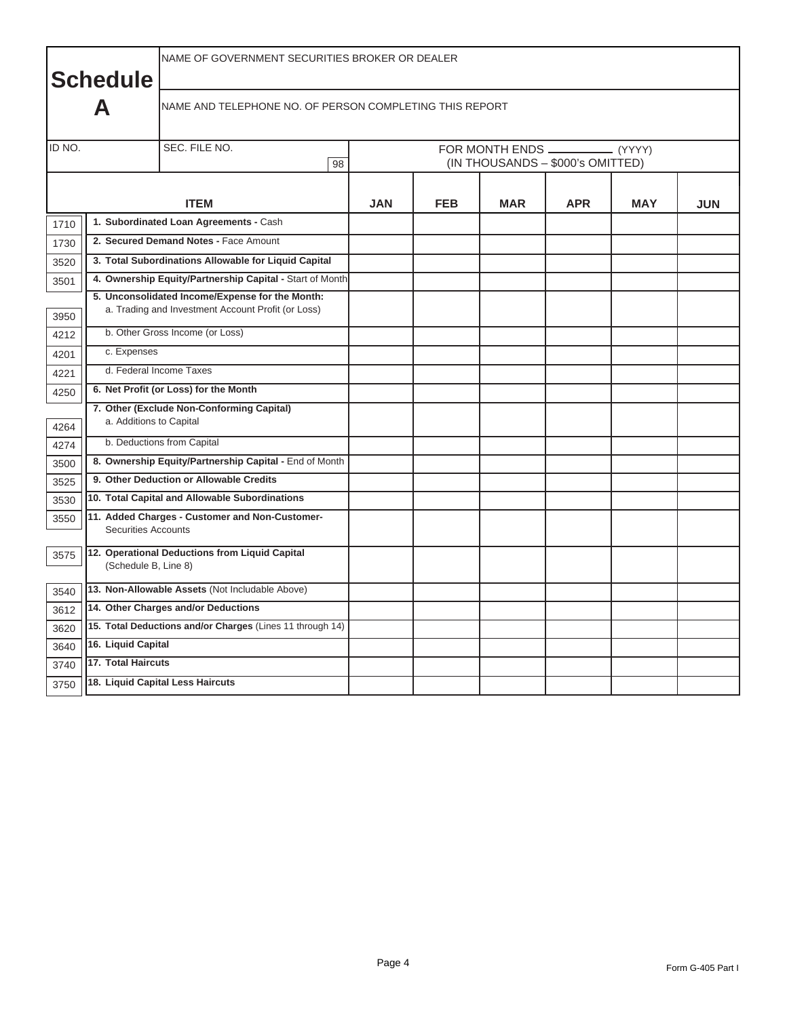|        | <b>Schedule</b>            | NAME OF GOVERNMENT SECURITIES BROKER OR DEALER                                                        |                                                              |            |            |            |            |            |  |  |  |  |
|--------|----------------------------|-------------------------------------------------------------------------------------------------------|--------------------------------------------------------------|------------|------------|------------|------------|------------|--|--|--|--|
|        | A                          | NAME AND TELEPHONE NO. OF PERSON COMPLETING THIS REPORT                                               |                                                              |            |            |            |            |            |  |  |  |  |
| ID NO. |                            | SEC. FILE NO.<br>98                                                                                   | FOR MONTH ENDS<br>(YYYY)<br>(IN THOUSANDS - \$000's OMITTED) |            |            |            |            |            |  |  |  |  |
|        |                            | <b>ITEM</b>                                                                                           | <b>JAN</b>                                                   | <b>FEB</b> | <b>MAR</b> | <b>APR</b> | <b>MAY</b> | <b>JUN</b> |  |  |  |  |
| 1710   |                            | 1. Subordinated Loan Agreements - Cash                                                                |                                                              |            |            |            |            |            |  |  |  |  |
| 1730   |                            | 2. Secured Demand Notes - Face Amount                                                                 |                                                              |            |            |            |            |            |  |  |  |  |
| 3520   |                            | 3. Total Subordinations Allowable for Liquid Capital                                                  |                                                              |            |            |            |            |            |  |  |  |  |
| 3501   |                            | 4. Ownership Equity/Partnership Capital - Start of Month                                              |                                                              |            |            |            |            |            |  |  |  |  |
| 3950   |                            | 5. Unconsolidated Income/Expense for the Month:<br>a. Trading and Investment Account Profit (or Loss) |                                                              |            |            |            |            |            |  |  |  |  |
| 4212   |                            | b. Other Gross Income (or Loss)                                                                       |                                                              |            |            |            |            |            |  |  |  |  |
| 4201   | c. Expenses                |                                                                                                       |                                                              |            |            |            |            |            |  |  |  |  |
| 4221   |                            | d. Federal Income Taxes                                                                               |                                                              |            |            |            |            |            |  |  |  |  |
| 4250   |                            | 6. Net Profit (or Loss) for the Month                                                                 |                                                              |            |            |            |            |            |  |  |  |  |
| 4264   | a. Additions to Capital    | 7. Other (Exclude Non-Conforming Capital)                                                             |                                                              |            |            |            |            |            |  |  |  |  |
| 4274   |                            | b. Deductions from Capital                                                                            |                                                              |            |            |            |            |            |  |  |  |  |
| 3500   |                            | 8. Ownership Equity/Partnership Capital - End of Month                                                |                                                              |            |            |            |            |            |  |  |  |  |
| 3525   |                            | 9. Other Deduction or Allowable Credits                                                               |                                                              |            |            |            |            |            |  |  |  |  |
| 3530   |                            | 10. Total Capital and Allowable Subordinations                                                        |                                                              |            |            |            |            |            |  |  |  |  |
| 3550   | <b>Securities Accounts</b> | 11. Added Charges - Customer and Non-Customer-                                                        |                                                              |            |            |            |            |            |  |  |  |  |
| 3575   | (Schedule B, Line 8)       | 12. Operational Deductions from Liquid Capital                                                        |                                                              |            |            |            |            |            |  |  |  |  |
| 3540   |                            | 13. Non-Allowable Assets (Not Includable Above)                                                       |                                                              |            |            |            |            |            |  |  |  |  |
| 3612   |                            | 14. Other Charges and/or Deductions                                                                   |                                                              |            |            |            |            |            |  |  |  |  |
| 3620   |                            | 15. Total Deductions and/or Charges (Lines 11 through 14)                                             |                                                              |            |            |            |            |            |  |  |  |  |
| 3640   | 16. Liquid Capital         |                                                                                                       |                                                              |            |            |            |            |            |  |  |  |  |
| 3740   | 17. Total Haircuts         |                                                                                                       |                                                              |            |            |            |            |            |  |  |  |  |
| 3750   |                            | 18. Liquid Capital Less Haircuts                                                                      |                                                              |            |            |            |            |            |  |  |  |  |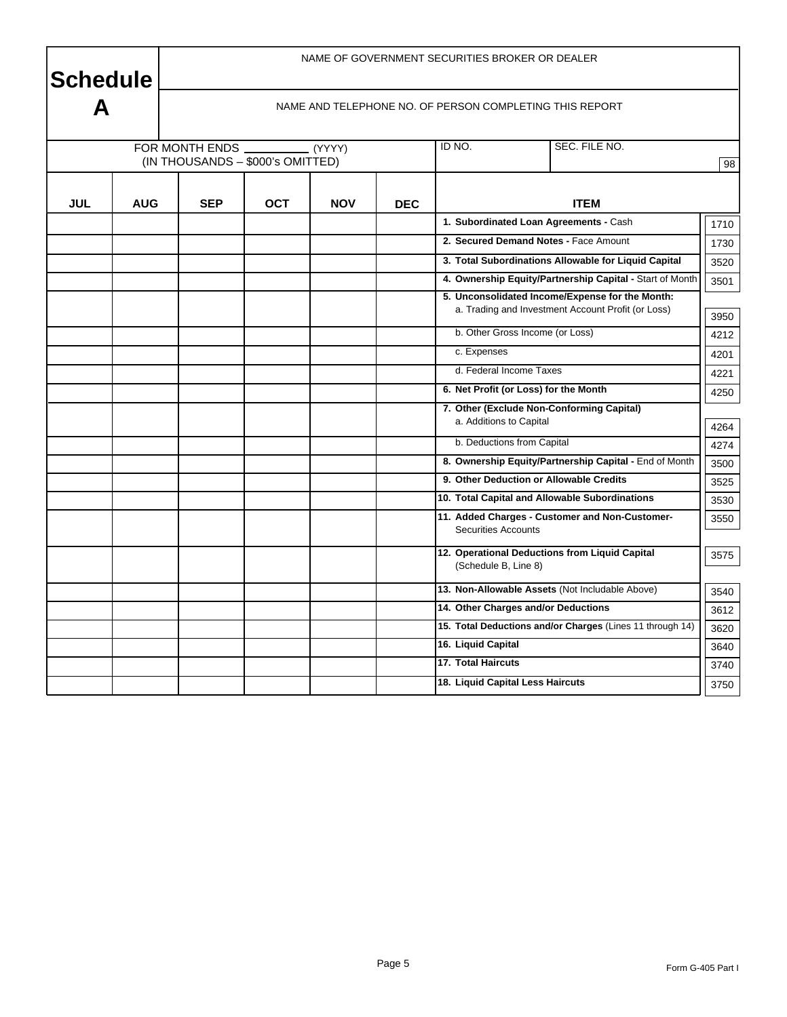**Schedule** 

NAME OF GOVERNMENT SECURITIES BROKER OR DEALER

|            |            |                                  |            |            |            | NAME AND TELEPHONE NO. OF PERSON COMPLETING THIS REPORT                      |      |  |  |
|------------|------------|----------------------------------|------------|------------|------------|------------------------------------------------------------------------------|------|--|--|
|            |            | FOR MONTH ENDS                   |            | (YYYY)     |            | SEC. FILE NO.<br>ID NO.                                                      |      |  |  |
|            |            | (IN THOUSANDS - \$000's OMITTED) |            |            |            |                                                                              | 98   |  |  |
|            |            |                                  |            |            |            |                                                                              |      |  |  |
| <b>JUL</b> | <b>AUG</b> | <b>SEP</b>                       | <b>OCT</b> | <b>NOV</b> | <b>DEC</b> | <b>ITEM</b>                                                                  |      |  |  |
|            |            |                                  |            |            |            | 1. Subordinated Loan Agreements - Cash                                       | 1710 |  |  |
|            |            |                                  |            |            |            | 2. Secured Demand Notes - Face Amount                                        | 1730 |  |  |
|            |            |                                  |            |            |            | 3. Total Subordinations Allowable for Liquid Capital                         | 3520 |  |  |
|            |            |                                  |            |            |            | 4. Ownership Equity/Partnership Capital - Start of Month                     | 3501 |  |  |
|            |            |                                  |            |            |            | 5. Unconsolidated Income/Expense for the Month:                              |      |  |  |
|            |            |                                  |            |            |            | a. Trading and Investment Account Profit (or Loss)                           |      |  |  |
|            |            |                                  |            |            |            | b. Other Gross Income (or Loss)                                              |      |  |  |
|            |            |                                  |            |            |            | c. Expenses                                                                  | 4201 |  |  |
|            |            |                                  |            |            |            | d. Federal Income Taxes                                                      | 4221 |  |  |
|            |            |                                  |            |            |            | 6. Net Profit (or Loss) for the Month                                        | 4250 |  |  |
|            |            |                                  |            |            |            | 7. Other (Exclude Non-Conforming Capital)<br>a. Additions to Capital         |      |  |  |
|            |            |                                  |            |            |            |                                                                              | 4264 |  |  |
|            |            |                                  |            |            |            | b. Deductions from Capital                                                   | 4274 |  |  |
|            |            |                                  |            |            |            | 8. Ownership Equity/Partnership Capital - End of Month                       | 3500 |  |  |
|            |            |                                  |            |            |            | 9. Other Deduction or Allowable Credits                                      | 3525 |  |  |
|            |            |                                  |            |            |            | 10. Total Capital and Allowable Subordinations                               | 3530 |  |  |
|            |            |                                  |            |            |            | 11. Added Charges - Customer and Non-Customer-<br><b>Securities Accounts</b> | 3550 |  |  |
|            |            |                                  |            |            |            |                                                                              |      |  |  |
|            |            |                                  |            |            |            | 12. Operational Deductions from Liquid Capital<br>(Schedule B, Line 8)       | 3575 |  |  |
|            |            |                                  |            |            |            |                                                                              |      |  |  |
|            |            |                                  |            |            |            | 13. Non-Allowable Assets (Not Includable Above)                              | 3540 |  |  |
|            |            |                                  |            |            |            | 14. Other Charges and/or Deductions                                          | 3612 |  |  |
|            |            |                                  |            |            |            | 15. Total Deductions and/or Charges (Lines 11 through 14)                    | 3620 |  |  |
|            |            |                                  |            |            |            | 16. Liquid Capital                                                           | 3640 |  |  |
|            |            |                                  |            |            |            | 17. Total Haircuts                                                           | 3740 |  |  |
|            |            |                                  |            |            |            | 18. Liquid Capital Less Haircuts                                             | 3750 |  |  |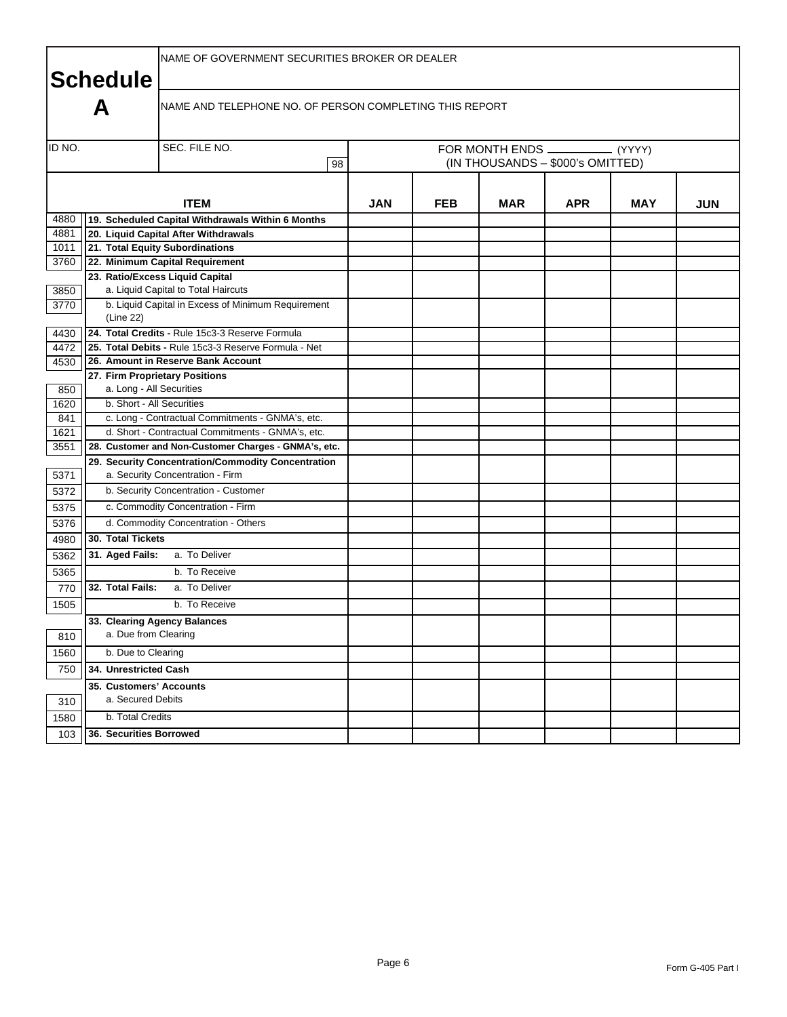|        | <b>Schedule</b>                              | NAME OF GOVERNMENT SECURITIES BROKER OR DEALER                                         |    |     |            |            |                                  |            |            |
|--------|----------------------------------------------|----------------------------------------------------------------------------------------|----|-----|------------|------------|----------------------------------|------------|------------|
|        | А                                            | NAME AND TELEPHONE NO. OF PERSON COMPLETING THIS REPORT                                |    |     |            |            |                                  |            |            |
| ID NO. |                                              | SEC. FILE NO.                                                                          |    |     |            |            |                                  |            |            |
|        |                                              |                                                                                        | 98 |     |            |            | (IN THOUSANDS - \$000's OMITTED) |            |            |
|        |                                              |                                                                                        |    |     |            |            |                                  |            |            |
|        |                                              | <b>ITEM</b>                                                                            |    | JAN | <b>FEB</b> | <b>MAR</b> | <b>APR</b>                       | <b>MAY</b> | <b>JUN</b> |
| 4880   |                                              | 19. Scheduled Capital Withdrawals Within 6 Months                                      |    |     |            |            |                                  |            |            |
| 4881   |                                              | 20. Liquid Capital After Withdrawals                                                   |    |     |            |            |                                  |            |            |
| 1011   |                                              | 21. Total Equity Subordinations                                                        |    |     |            |            |                                  |            |            |
| 3760   |                                              | 22. Minimum Capital Requirement                                                        |    |     |            |            |                                  |            |            |
|        |                                              | 23. Ratio/Excess Liquid Capital                                                        |    |     |            |            |                                  |            |            |
| 3850   |                                              | a. Liquid Capital to Total Haircuts                                                    |    |     |            |            |                                  |            |            |
| 3770   | (Line 22)                                    | b. Liquid Capital in Excess of Minimum Requirement                                     |    |     |            |            |                                  |            |            |
| 4430   |                                              | 24. Total Credits - Rule 15c3-3 Reserve Formula                                        |    |     |            |            |                                  |            |            |
| 4472   |                                              | 25. Total Debits - Rule 15c3-3 Reserve Formula - Net                                   |    |     |            |            |                                  |            |            |
| 4530   |                                              | 26. Amount in Reserve Bank Account                                                     |    |     |            |            |                                  |            |            |
|        |                                              | 27. Firm Proprietary Positions                                                         |    |     |            |            |                                  |            |            |
| 850    | a. Long - All Securities                     |                                                                                        |    |     |            |            |                                  |            |            |
| 1620   | b. Short - All Securities                    |                                                                                        |    |     |            |            |                                  |            |            |
| 841    |                                              | c. Long - Contractual Commitments - GNMA's, etc.                                       |    |     |            |            |                                  |            |            |
| 1621   |                                              | d. Short - Contractual Commitments - GNMA's, etc.                                      |    |     |            |            |                                  |            |            |
| 3551   |                                              | 28. Customer and Non-Customer Charges - GNMA's, etc.                                   |    |     |            |            |                                  |            |            |
| 5371   |                                              | 29. Security Concentration/Commodity Concentration<br>a. Security Concentration - Firm |    |     |            |            |                                  |            |            |
| 5372   |                                              | b. Security Concentration - Customer                                                   |    |     |            |            |                                  |            |            |
| 5375   |                                              | c. Commodity Concentration - Firm                                                      |    |     |            |            |                                  |            |            |
| 5376   |                                              | d. Commodity Concentration - Others                                                    |    |     |            |            |                                  |            |            |
| 4980   | 30. Total Tickets                            |                                                                                        |    |     |            |            |                                  |            |            |
| 5362   | 31. Aged Fails:                              | a. To Deliver                                                                          |    |     |            |            |                                  |            |            |
| 5365   |                                              | b. To Receive                                                                          |    |     |            |            |                                  |            |            |
| 770    | 32. Total Fails:                             | a. To Deliver                                                                          |    |     |            |            |                                  |            |            |
| 1505   |                                              | b. To Receive                                                                          |    |     |            |            |                                  |            |            |
|        |                                              | 33. Clearing Agency Balances                                                           |    |     |            |            |                                  |            |            |
| 810    | a. Due from Clearing                         |                                                                                        |    |     |            |            |                                  |            |            |
| 1560   | b. Due to Clearing                           |                                                                                        |    |     |            |            |                                  |            |            |
| 750    | 34. Unrestricted Cash                        |                                                                                        |    |     |            |            |                                  |            |            |
| 310    | 35. Customers' Accounts<br>a. Secured Debits |                                                                                        |    |     |            |            |                                  |            |            |
| 1580   | b. Total Credits                             |                                                                                        |    |     |            |            |                                  |            |            |
| 103    | 36. Securities Borrowed                      |                                                                                        |    |     |            |            |                                  |            |            |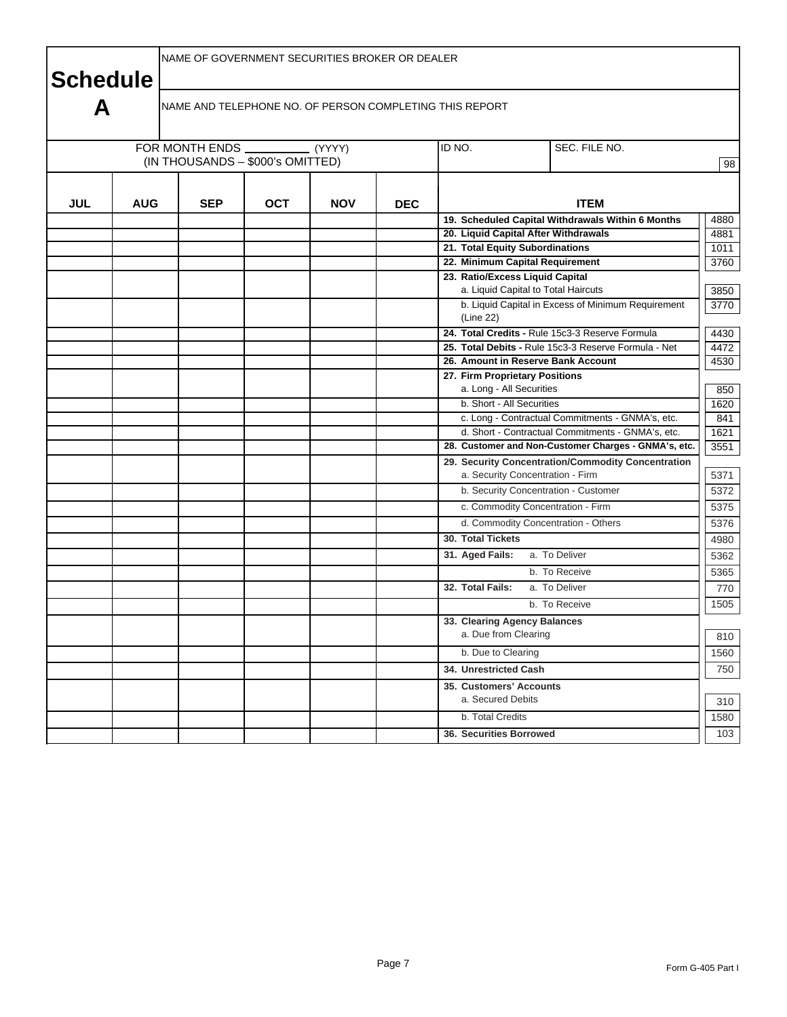| <b>Schedule</b> |            |            | NAME OF GOVERNMENT SECURITIES BROKER OR DEALER |            |            |                                                                                        |      |  |  |  |  |
|-----------------|------------|------------|------------------------------------------------|------------|------------|----------------------------------------------------------------------------------------|------|--|--|--|--|
| A               |            |            |                                                |            |            | NAME AND TELEPHONE NO. OF PERSON COMPLETING THIS REPORT                                |      |  |  |  |  |
|                 |            |            | (IN THOUSANDS - \$000's OMITTED)               |            |            | ID NO.<br>SEC. FILE NO.                                                                |      |  |  |  |  |
| <b>JUL</b>      | <b>AUG</b> | <b>SEP</b> | <b>OCT</b>                                     | <b>NOV</b> | <b>DEC</b> | <b>ITEM</b>                                                                            |      |  |  |  |  |
|                 |            |            |                                                |            |            | 19. Scheduled Capital Withdrawals Within 6 Months                                      | 4880 |  |  |  |  |
|                 |            |            |                                                |            |            | 20. Liquid Capital After Withdrawals                                                   | 4881 |  |  |  |  |
|                 |            |            |                                                |            |            | 21. Total Equity Subordinations                                                        | 1011 |  |  |  |  |
|                 |            |            |                                                |            |            | 22. Minimum Capital Requirement                                                        | 3760 |  |  |  |  |
|                 |            |            |                                                |            |            | 23. Ratio/Excess Liquid Capital                                                        |      |  |  |  |  |
|                 |            |            |                                                |            |            | a. Liquid Capital to Total Haircuts                                                    | 3850 |  |  |  |  |
|                 |            |            |                                                |            |            | b. Liquid Capital in Excess of Minimum Requirement<br>(Line 22)                        | 3770 |  |  |  |  |
|                 |            |            |                                                |            |            | 24. Total Credits - Rule 15c3-3 Reserve Formula                                        | 4430 |  |  |  |  |
|                 |            |            |                                                |            |            | 25. Total Debits - Rule 15c3-3 Reserve Formula - Net                                   | 4472 |  |  |  |  |
|                 |            |            |                                                |            |            | 26. Amount in Reserve Bank Account                                                     | 4530 |  |  |  |  |
|                 |            |            |                                                |            |            | 27. Firm Proprietary Positions                                                         |      |  |  |  |  |
|                 |            |            |                                                |            |            | a. Long - All Securities                                                               | 850  |  |  |  |  |
|                 |            |            |                                                |            |            | b. Short - All Securities                                                              | 1620 |  |  |  |  |
|                 |            |            |                                                |            |            | c. Long - Contractual Commitments - GNMA's, etc.                                       | 841  |  |  |  |  |
|                 |            |            |                                                |            |            | d. Short - Contractual Commitments - GNMA's, etc.                                      | 1621 |  |  |  |  |
|                 |            |            |                                                |            |            | 28. Customer and Non-Customer Charges - GNMA's, etc.                                   | 3551 |  |  |  |  |
|                 |            |            |                                                |            |            | 29. Security Concentration/Commodity Concentration<br>a. Security Concentration - Firm | 5371 |  |  |  |  |
|                 |            |            |                                                |            |            | b. Security Concentration - Customer                                                   | 5372 |  |  |  |  |
|                 |            |            |                                                |            |            | c. Commodity Concentration - Firm                                                      | 5375 |  |  |  |  |
|                 |            |            |                                                |            |            | d. Commodity Concentration - Others                                                    | 5376 |  |  |  |  |
|                 |            |            |                                                |            |            | 30. Total Tickets                                                                      | 4980 |  |  |  |  |
|                 |            |            |                                                |            |            | a. To Deliver<br>31. Aged Fails:                                                       | 5362 |  |  |  |  |
|                 |            |            |                                                |            |            | b. To Receive                                                                          | 5365 |  |  |  |  |
|                 |            |            |                                                |            |            | 32. Total Fails:<br>a. To Deliver                                                      | 770  |  |  |  |  |
|                 |            |            |                                                |            |            | b. To Receive                                                                          | 1505 |  |  |  |  |
|                 |            |            |                                                |            |            | 33. Clearing Agency Balances                                                           |      |  |  |  |  |
|                 |            |            |                                                |            |            | a. Due from Clearing                                                                   | 810  |  |  |  |  |
|                 |            |            |                                                |            |            | b. Due to Clearing                                                                     | 1560 |  |  |  |  |
|                 |            |            |                                                |            |            | 34. Unrestricted Cash                                                                  | 750  |  |  |  |  |
|                 |            |            |                                                |            |            | 35. Customers' Accounts                                                                |      |  |  |  |  |
|                 |            |            |                                                |            |            | a. Secured Debits                                                                      | 310  |  |  |  |  |
|                 |            |            |                                                |            |            | b. Total Credits                                                                       | 1580 |  |  |  |  |
|                 |            |            |                                                |            |            | 36. Securities Borrowed                                                                | 103  |  |  |  |  |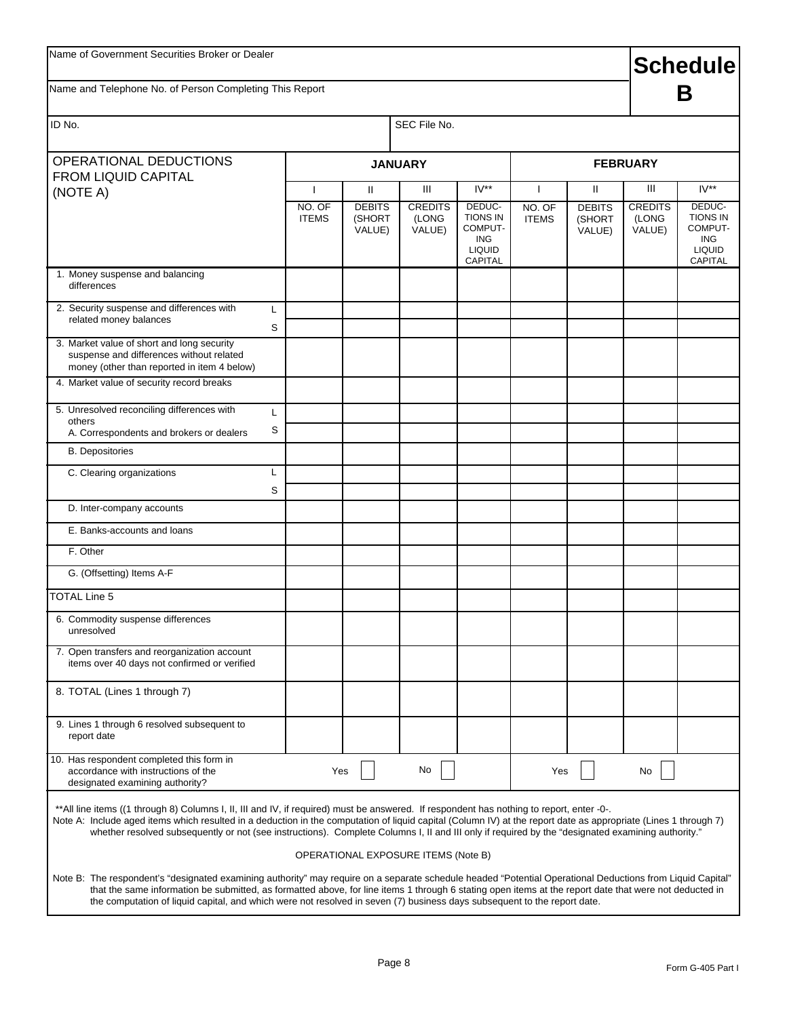## **Schedule**

Name and Telephone No. of Person Completing This Report

## **B**

| OPERATIONAL DEDUCTIONS<br><b>FROM LIQUID CAPITAL</b>                                                                                                                                                                                                                                                                                                                                                                                                               |                        | <b>JANUARY</b>                      |                                   |                                                                                |                        |                                   | <b>FEBRUARY</b>                   |                                                                                       |
|--------------------------------------------------------------------------------------------------------------------------------------------------------------------------------------------------------------------------------------------------------------------------------------------------------------------------------------------------------------------------------------------------------------------------------------------------------------------|------------------------|-------------------------------------|-----------------------------------|--------------------------------------------------------------------------------|------------------------|-----------------------------------|-----------------------------------|---------------------------------------------------------------------------------------|
| (NOTE A)                                                                                                                                                                                                                                                                                                                                                                                                                                                           | $\mathbf{I}$           | Ш                                   | Ш                                 | $IV**$                                                                         | $\mathbf{I}$           | $\mathbf{H}$                      | Ш                                 | $IV**$                                                                                |
|                                                                                                                                                                                                                                                                                                                                                                                                                                                                    | NO. OF<br><b>ITEMS</b> | <b>DEBITS</b><br>(SHORT<br>VALUE)   | <b>CREDITS</b><br>(LONG<br>VALUE) | DEDUC-<br><b>TIONS IN</b><br>COMPUT-<br><b>ING</b><br><b>LIQUID</b><br>CAPITAL | NO. OF<br><b>ITEMS</b> | <b>DEBITS</b><br>(SHORT<br>VALUE) | <b>CREDITS</b><br>(LONG<br>VALUE) | DEDUC-<br><b>TIONS IN</b><br>COMPUT-<br><b>ING</b><br><b>LIQUID</b><br><b>CAPITAL</b> |
| 1. Money suspense and balancing<br>differences                                                                                                                                                                                                                                                                                                                                                                                                                     |                        |                                     |                                   |                                                                                |                        |                                   |                                   |                                                                                       |
| 2. Security suspense and differences with<br>L<br>related money balances                                                                                                                                                                                                                                                                                                                                                                                           | S                      |                                     |                                   |                                                                                |                        |                                   |                                   |                                                                                       |
| 3. Market value of short and long security<br>suspense and differences without related<br>money (other than reported in item 4 below)                                                                                                                                                                                                                                                                                                                              |                        |                                     |                                   |                                                                                |                        |                                   |                                   |                                                                                       |
| 4. Market value of security record breaks                                                                                                                                                                                                                                                                                                                                                                                                                          |                        |                                     |                                   |                                                                                |                        |                                   |                                   |                                                                                       |
| 5. Unresolved reconciling differences with<br>others<br>A. Correspondents and brokers or dealers                                                                                                                                                                                                                                                                                                                                                                   | L<br>S                 |                                     |                                   |                                                                                |                        |                                   |                                   |                                                                                       |
| <b>B.</b> Depositories                                                                                                                                                                                                                                                                                                                                                                                                                                             |                        |                                     |                                   |                                                                                |                        |                                   |                                   |                                                                                       |
| C. Clearing organizations<br>L                                                                                                                                                                                                                                                                                                                                                                                                                                     | S                      |                                     |                                   |                                                                                |                        |                                   |                                   |                                                                                       |
| D. Inter-company accounts                                                                                                                                                                                                                                                                                                                                                                                                                                          |                        |                                     |                                   |                                                                                |                        |                                   |                                   |                                                                                       |
| E. Banks-accounts and loans                                                                                                                                                                                                                                                                                                                                                                                                                                        |                        |                                     |                                   |                                                                                |                        |                                   |                                   |                                                                                       |
| F. Other                                                                                                                                                                                                                                                                                                                                                                                                                                                           |                        |                                     |                                   |                                                                                |                        |                                   |                                   |                                                                                       |
| G. (Offsetting) Items A-F                                                                                                                                                                                                                                                                                                                                                                                                                                          |                        |                                     |                                   |                                                                                |                        |                                   |                                   |                                                                                       |
| <b>TOTAL Line 5</b>                                                                                                                                                                                                                                                                                                                                                                                                                                                |                        |                                     |                                   |                                                                                |                        |                                   |                                   |                                                                                       |
| 6. Commodity suspense differences<br>unresolved                                                                                                                                                                                                                                                                                                                                                                                                                    |                        |                                     |                                   |                                                                                |                        |                                   |                                   |                                                                                       |
| 7. Open transfers and reorganization account<br>items over 40 days not confirmed or verified                                                                                                                                                                                                                                                                                                                                                                       |                        |                                     |                                   |                                                                                |                        |                                   |                                   |                                                                                       |
| 8. TOTAL (Lines 1 through 7)                                                                                                                                                                                                                                                                                                                                                                                                                                       |                        |                                     |                                   |                                                                                |                        |                                   |                                   |                                                                                       |
| 9. Lines 1 through 6 resolved subsequent to<br>report date                                                                                                                                                                                                                                                                                                                                                                                                         |                        |                                     |                                   |                                                                                |                        |                                   |                                   |                                                                                       |
| 10. Has respondent completed this form in<br>accordance with instructions of the<br>designated examining authority?                                                                                                                                                                                                                                                                                                                                                |                        | Yes                                 | No                                |                                                                                | Yes                    |                                   | No                                |                                                                                       |
| ** All line items ((1 through 8) Columns I, II, III and IV, if required) must be answered. If respondent has nothing to report, enter -0-.<br>Note A: Include aged items which resulted in a deduction in the computation of liquid capital (Column IV) at the report date as appropriate (Lines 1 through 7)<br>whether resolved subsequently or not (see instructions). Complete Columns I, II and III only if required by the "designated examining authority." |                        |                                     |                                   |                                                                                |                        |                                   |                                   |                                                                                       |
|                                                                                                                                                                                                                                                                                                                                                                                                                                                                    |                        | OPERATIONAL EXPOSURE ITEMS (Note B) |                                   |                                                                                |                        |                                   |                                   |                                                                                       |

the computation of liquid capital, and which were not resolved in seven (7) business days subsequent to the report date.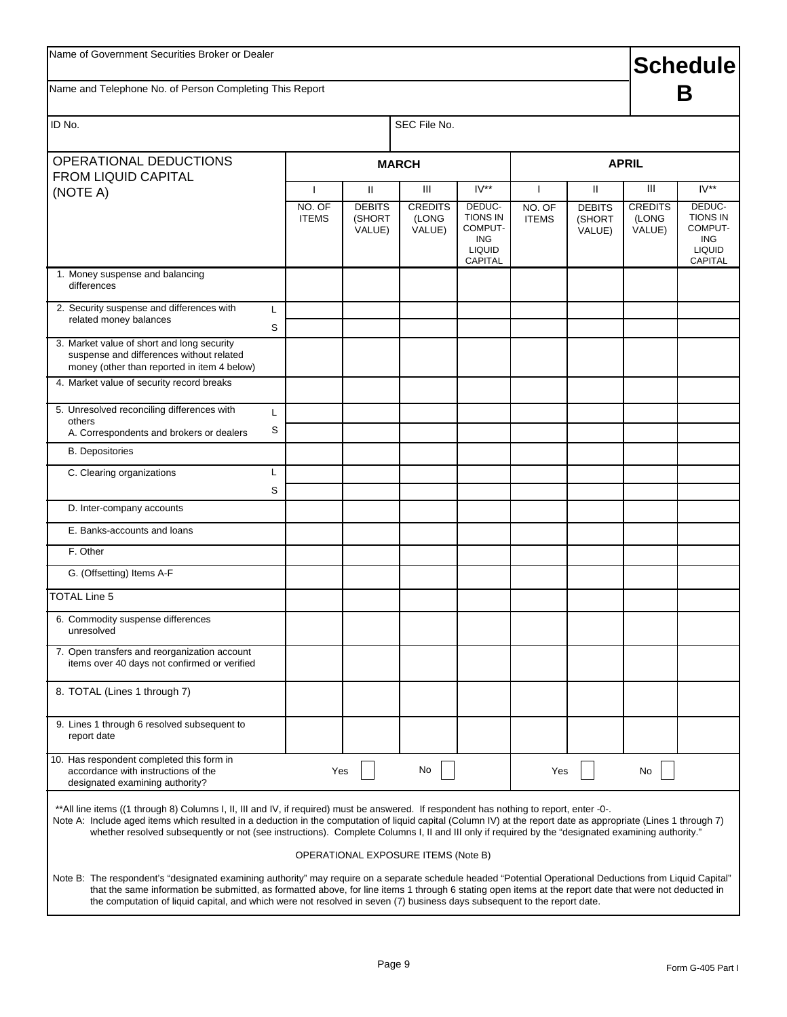| Name of Government Securities Broker or Dealer                                                                                                                                                                                                                                                                                                                                                                                                                     |                        |                                   |                                     |                                                                                       |                        |                                   | <b>Schedule</b>                   |                                                                                       |  |
|--------------------------------------------------------------------------------------------------------------------------------------------------------------------------------------------------------------------------------------------------------------------------------------------------------------------------------------------------------------------------------------------------------------------------------------------------------------------|------------------------|-----------------------------------|-------------------------------------|---------------------------------------------------------------------------------------|------------------------|-----------------------------------|-----------------------------------|---------------------------------------------------------------------------------------|--|
| Name and Telephone No. of Person Completing This Report                                                                                                                                                                                                                                                                                                                                                                                                            |                        |                                   |                                     |                                                                                       |                        |                                   |                                   | В                                                                                     |  |
| ID No.                                                                                                                                                                                                                                                                                                                                                                                                                                                             |                        |                                   | SEC File No.                        |                                                                                       |                        |                                   |                                   |                                                                                       |  |
| OPERATIONAL DEDUCTIONS<br><b>FROM LIQUID CAPITAL</b>                                                                                                                                                                                                                                                                                                                                                                                                               |                        |                                   | <b>MARCH</b>                        |                                                                                       | <b>APRIL</b>           |                                   |                                   |                                                                                       |  |
| (NOTE A)                                                                                                                                                                                                                                                                                                                                                                                                                                                           | ı                      | Ш                                 | Ш                                   | $IV**$                                                                                |                        | Ш                                 | Ш                                 | $IV**$                                                                                |  |
|                                                                                                                                                                                                                                                                                                                                                                                                                                                                    | NO. OF<br><b>ITEMS</b> | <b>DEBITS</b><br>(SHORT<br>VALUE) | <b>CREDITS</b><br>(LONG<br>VALUE)   | DEDUC-<br><b>TIONS IN</b><br>COMPUT-<br><b>ING</b><br><b>LIQUID</b><br><b>CAPITAL</b> | NO. OF<br><b>ITEMS</b> | <b>DEBITS</b><br>(SHORT<br>VALUE) | <b>CREDITS</b><br>(LONG<br>VALUE) | DEDUC-<br><b>TIONS IN</b><br>COMPUT-<br><b>ING</b><br><b>LIQUID</b><br><b>CAPITAL</b> |  |
| 1. Money suspense and balancing<br>differences                                                                                                                                                                                                                                                                                                                                                                                                                     |                        |                                   |                                     |                                                                                       |                        |                                   |                                   |                                                                                       |  |
| 2. Security suspense and differences with<br>L<br>related money balances<br>S                                                                                                                                                                                                                                                                                                                                                                                      |                        |                                   |                                     |                                                                                       |                        |                                   |                                   |                                                                                       |  |
| 3. Market value of short and long security<br>suspense and differences without related<br>money (other than reported in item 4 below)                                                                                                                                                                                                                                                                                                                              |                        |                                   |                                     |                                                                                       |                        |                                   |                                   |                                                                                       |  |
| 4. Market value of security record breaks                                                                                                                                                                                                                                                                                                                                                                                                                          |                        |                                   |                                     |                                                                                       |                        |                                   |                                   |                                                                                       |  |
| 5. Unresolved reconciling differences with<br>L<br>others                                                                                                                                                                                                                                                                                                                                                                                                          |                        |                                   |                                     |                                                                                       |                        |                                   |                                   |                                                                                       |  |
| S<br>A. Correspondents and brokers or dealers                                                                                                                                                                                                                                                                                                                                                                                                                      |                        |                                   |                                     |                                                                                       |                        |                                   |                                   |                                                                                       |  |
| <b>B.</b> Depositories                                                                                                                                                                                                                                                                                                                                                                                                                                             |                        |                                   |                                     |                                                                                       |                        |                                   |                                   |                                                                                       |  |
| L<br>C. Clearing organizations                                                                                                                                                                                                                                                                                                                                                                                                                                     |                        |                                   |                                     |                                                                                       |                        |                                   |                                   |                                                                                       |  |
| S<br>D. Inter-company accounts                                                                                                                                                                                                                                                                                                                                                                                                                                     |                        |                                   |                                     |                                                                                       |                        |                                   |                                   |                                                                                       |  |
| E. Banks-accounts and loans                                                                                                                                                                                                                                                                                                                                                                                                                                        |                        |                                   |                                     |                                                                                       |                        |                                   |                                   |                                                                                       |  |
| F. Other                                                                                                                                                                                                                                                                                                                                                                                                                                                           |                        |                                   |                                     |                                                                                       |                        |                                   |                                   |                                                                                       |  |
| G. (Offsetting) Items A-F                                                                                                                                                                                                                                                                                                                                                                                                                                          |                        |                                   |                                     |                                                                                       |                        |                                   |                                   |                                                                                       |  |
| <b>TOTAL Line 5</b>                                                                                                                                                                                                                                                                                                                                                                                                                                                |                        |                                   |                                     |                                                                                       |                        |                                   |                                   |                                                                                       |  |
| 6. Commodity suspense differences<br>unresolved                                                                                                                                                                                                                                                                                                                                                                                                                    |                        |                                   |                                     |                                                                                       |                        |                                   |                                   |                                                                                       |  |
| 7. Open transfers and reorganization account<br>items over 40 days not confirmed or verified                                                                                                                                                                                                                                                                                                                                                                       |                        |                                   |                                     |                                                                                       |                        |                                   |                                   |                                                                                       |  |
| 8. TOTAL (Lines 1 through 7)                                                                                                                                                                                                                                                                                                                                                                                                                                       |                        |                                   |                                     |                                                                                       |                        |                                   |                                   |                                                                                       |  |
| 9. Lines 1 through 6 resolved subsequent to<br>report date                                                                                                                                                                                                                                                                                                                                                                                                         |                        |                                   |                                     |                                                                                       |                        |                                   |                                   |                                                                                       |  |
| 10. Has respondent completed this form in<br>accordance with instructions of the<br>designated examining authority?                                                                                                                                                                                                                                                                                                                                                | Yes                    |                                   | No                                  |                                                                                       | Yes                    |                                   | No                                |                                                                                       |  |
| ** All line items ((1 through 8) Columns I, II, III and IV, if required) must be answered. If respondent has nothing to report, enter -0-.<br>Note A: Include aged items which resulted in a deduction in the computation of liquid capital (Column IV) at the report date as appropriate (Lines 1 through 7)<br>whether resolved subsequently or not (see instructions). Complete Columns I, II and III only if required by the "designated examining authority." |                        |                                   |                                     |                                                                                       |                        |                                   |                                   |                                                                                       |  |
|                                                                                                                                                                                                                                                                                                                                                                                                                                                                    |                        |                                   | OPERATIONAL EXPOSURE ITEMS (Note B) |                                                                                       |                        |                                   |                                   |                                                                                       |  |
| Note B: The respondent's "designated examining authority" may require on a separate schedule headed "Potential Operational Deductions from Liquid Capital"<br>that the same information be submitted, as formatted above, for line items 1 through 6 stating open items at the report date that were not deducted in<br>the computation of liquid capital, and which were not resolved in seven (7) business days subsequent to the report date.                   |                        |                                   |                                     |                                                                                       |                        |                                   |                                   |                                                                                       |  |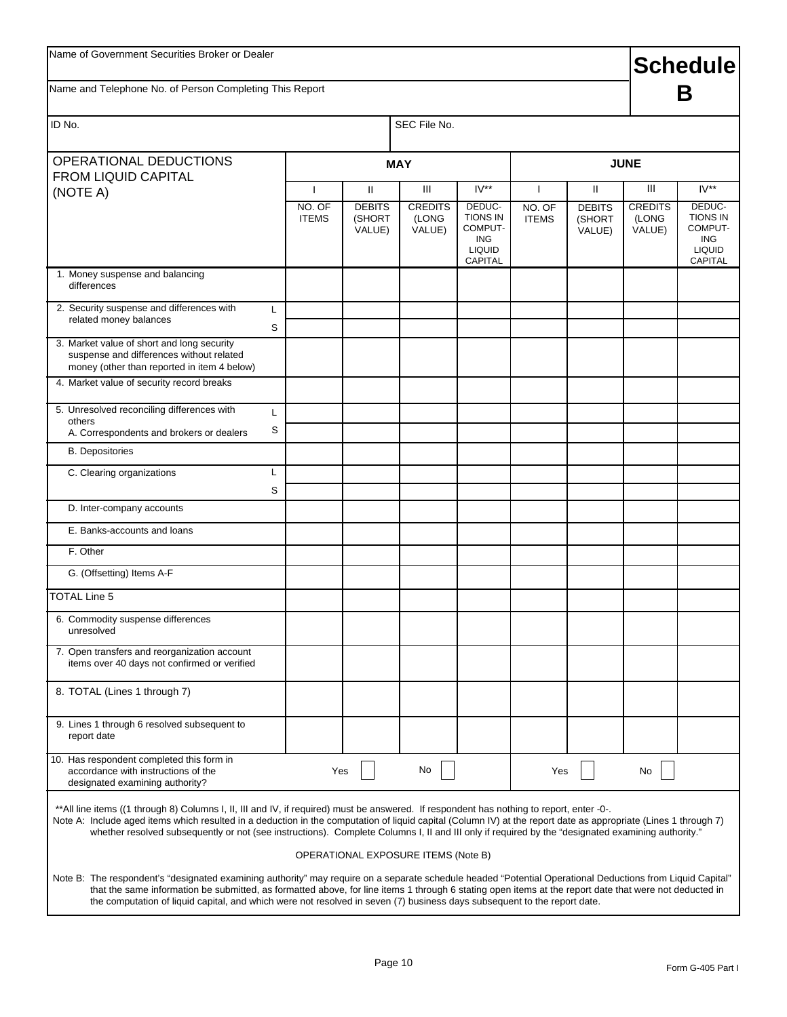| Name of Government Securities Broker or Dealer                                                                                                                                                                                                                                                                                                                                                                                                                     |                          | <b>Schedule</b>                   |                                     |                                                                                       |                        |                                   |                                   |                                                                                       |
|--------------------------------------------------------------------------------------------------------------------------------------------------------------------------------------------------------------------------------------------------------------------------------------------------------------------------------------------------------------------------------------------------------------------------------------------------------------------|--------------------------|-----------------------------------|-------------------------------------|---------------------------------------------------------------------------------------|------------------------|-----------------------------------|-----------------------------------|---------------------------------------------------------------------------------------|
| Name and Telephone No. of Person Completing This Report                                                                                                                                                                                                                                                                                                                                                                                                            |                          |                                   |                                     |                                                                                       |                        |                                   |                                   | Β                                                                                     |
| ID No.                                                                                                                                                                                                                                                                                                                                                                                                                                                             |                          |                                   | SEC File No.                        |                                                                                       |                        |                                   |                                   |                                                                                       |
| OPERATIONAL DEDUCTIONS                                                                                                                                                                                                                                                                                                                                                                                                                                             |                          |                                   | <b>MAY</b>                          |                                                                                       |                        |                                   | <b>JUNE</b>                       |                                                                                       |
| <b>FROM LIQUID CAPITAL</b><br>(NOTE A)                                                                                                                                                                                                                                                                                                                                                                                                                             | $\overline{\phantom{a}}$ | $\mathbf{H}$                      | Ш                                   | $IV**$                                                                                | H                      | Ш                                 | Ш                                 | $IV**$                                                                                |
|                                                                                                                                                                                                                                                                                                                                                                                                                                                                    | NO. OF<br><b>ITEMS</b>   | <b>DEBITS</b><br>(SHORT<br>VALUE) | <b>CREDITS</b><br>(LONG<br>VALUE)   | DEDUC-<br><b>TIONS IN</b><br>COMPUT-<br><b>ING</b><br><b>LIQUID</b><br><b>CAPITAL</b> | NO. OF<br><b>ITEMS</b> | <b>DEBITS</b><br>(SHORT<br>VALUE) | <b>CREDITS</b><br>(LONG<br>VALUE) | DEDUC-<br><b>TIONS IN</b><br>COMPUT-<br><b>ING</b><br><b>LIQUID</b><br><b>CAPITAL</b> |
| 1. Money suspense and balancing<br>differences                                                                                                                                                                                                                                                                                                                                                                                                                     |                          |                                   |                                     |                                                                                       |                        |                                   |                                   |                                                                                       |
| 2. Security suspense and differences with<br>L<br>related money balances<br>S                                                                                                                                                                                                                                                                                                                                                                                      |                          |                                   |                                     |                                                                                       |                        |                                   |                                   |                                                                                       |
| 3. Market value of short and long security<br>suspense and differences without related<br>money (other than reported in item 4 below)                                                                                                                                                                                                                                                                                                                              |                          |                                   |                                     |                                                                                       |                        |                                   |                                   |                                                                                       |
| 4. Market value of security record breaks                                                                                                                                                                                                                                                                                                                                                                                                                          |                          |                                   |                                     |                                                                                       |                        |                                   |                                   |                                                                                       |
| 5. Unresolved reconciling differences with<br>L                                                                                                                                                                                                                                                                                                                                                                                                                    |                          |                                   |                                     |                                                                                       |                        |                                   |                                   |                                                                                       |
| others<br>S<br>A. Correspondents and brokers or dealers                                                                                                                                                                                                                                                                                                                                                                                                            |                          |                                   |                                     |                                                                                       |                        |                                   |                                   |                                                                                       |
| <b>B.</b> Depositories                                                                                                                                                                                                                                                                                                                                                                                                                                             |                          |                                   |                                     |                                                                                       |                        |                                   |                                   |                                                                                       |
| C. Clearing organizations<br>L                                                                                                                                                                                                                                                                                                                                                                                                                                     |                          |                                   |                                     |                                                                                       |                        |                                   |                                   |                                                                                       |
| S<br>D. Inter-company accounts                                                                                                                                                                                                                                                                                                                                                                                                                                     |                          |                                   |                                     |                                                                                       |                        |                                   |                                   |                                                                                       |
| E. Banks-accounts and loans                                                                                                                                                                                                                                                                                                                                                                                                                                        |                          |                                   |                                     |                                                                                       |                        |                                   |                                   |                                                                                       |
| F. Other                                                                                                                                                                                                                                                                                                                                                                                                                                                           |                          |                                   |                                     |                                                                                       |                        |                                   |                                   |                                                                                       |
| G. (Offsetting) Items A-F                                                                                                                                                                                                                                                                                                                                                                                                                                          |                          |                                   |                                     |                                                                                       |                        |                                   |                                   |                                                                                       |
| <b>TOTAL Line 5</b>                                                                                                                                                                                                                                                                                                                                                                                                                                                |                          |                                   |                                     |                                                                                       |                        |                                   |                                   |                                                                                       |
| 6. Commodity suspense differences<br>unresolved                                                                                                                                                                                                                                                                                                                                                                                                                    |                          |                                   |                                     |                                                                                       |                        |                                   |                                   |                                                                                       |
| 7. Open transfers and reorganization account<br>items over 40 days not confirmed or verified                                                                                                                                                                                                                                                                                                                                                                       |                          |                                   |                                     |                                                                                       |                        |                                   |                                   |                                                                                       |
| 8. TOTAL (Lines 1 through 7)                                                                                                                                                                                                                                                                                                                                                                                                                                       |                          |                                   |                                     |                                                                                       |                        |                                   |                                   |                                                                                       |
| 9. Lines 1 through 6 resolved subsequent to<br>report date                                                                                                                                                                                                                                                                                                                                                                                                         |                          |                                   |                                     |                                                                                       |                        |                                   |                                   |                                                                                       |
| 10. Has respondent completed this form in<br>accordance with instructions of the<br>designated examining authority?                                                                                                                                                                                                                                                                                                                                                | Yes                      |                                   | No                                  |                                                                                       | Yes                    |                                   | No                                |                                                                                       |
| ** All line items ((1 through 8) Columns I, II, III and IV, if required) must be answered. If respondent has nothing to report, enter -0-.<br>Note A: Include aged items which resulted in a deduction in the computation of liquid capital (Column IV) at the report date as appropriate (Lines 1 through 7)<br>whether resolved subsequently or not (see instructions). Complete Columns I, II and III only if required by the "designated examining authority." |                          |                                   |                                     |                                                                                       |                        |                                   |                                   |                                                                                       |
|                                                                                                                                                                                                                                                                                                                                                                                                                                                                    |                          |                                   | OPERATIONAL EXPOSURE ITEMS (Note B) |                                                                                       |                        |                                   |                                   |                                                                                       |
| Note B: The respondent's "designated examining authority" may require on a separate schedule headed "Potential Operational Deductions from Liquid Capital"<br>that the same information be submitted, as formatted above, for line items 1 through 6 stating open items at the report date that were not deducted in<br>the computation of liquid capital, and which were not resolved in seven (7) business days subsequent to the report date.                   |                          |                                   |                                     |                                                                                       |                        |                                   |                                   |                                                                                       |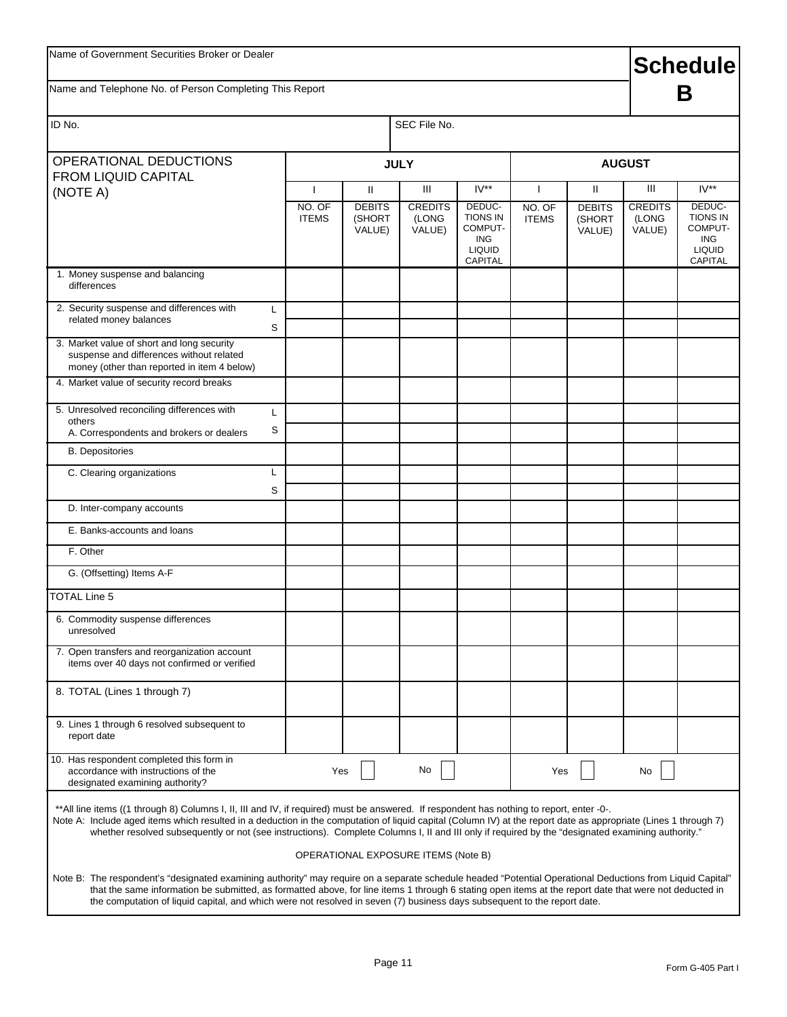| Name of Government Securities Broker or Dealer                                                                                                                                                                                                                                                                                                                                                                                                                    |                          |                                     |                                   |                                                                                       |                        |                                   | <b>Schedule</b>                   |                                                                                       |  |
|-------------------------------------------------------------------------------------------------------------------------------------------------------------------------------------------------------------------------------------------------------------------------------------------------------------------------------------------------------------------------------------------------------------------------------------------------------------------|--------------------------|-------------------------------------|-----------------------------------|---------------------------------------------------------------------------------------|------------------------|-----------------------------------|-----------------------------------|---------------------------------------------------------------------------------------|--|
| Name and Telephone No. of Person Completing This Report                                                                                                                                                                                                                                                                                                                                                                                                           |                          |                                     |                                   |                                                                                       |                        |                                   |                                   | В                                                                                     |  |
| ID No.                                                                                                                                                                                                                                                                                                                                                                                                                                                            |                          |                                     | SEC File No.                      |                                                                                       |                        |                                   |                                   |                                                                                       |  |
| OPERATIONAL DEDUCTIONS<br><b>FROM LIQUID CAPITAL</b>                                                                                                                                                                                                                                                                                                                                                                                                              |                          |                                     | <b>JULY</b>                       |                                                                                       |                        |                                   | <b>AUGUST</b>                     |                                                                                       |  |
| (NOTE A)                                                                                                                                                                                                                                                                                                                                                                                                                                                          | $\overline{\phantom{a}}$ | $\mathbf{H}$                        | $\mathop{\mathsf{III}}\nolimits$  | $IV**$                                                                                | $\mathbf{I}$           | Ш                                 | Ш                                 | $IV**$                                                                                |  |
|                                                                                                                                                                                                                                                                                                                                                                                                                                                                   | NO. OF<br><b>ITEMS</b>   | <b>DEBITS</b><br>(SHORT<br>VALUE)   | <b>CREDITS</b><br>(LONG<br>VALUE) | DEDUC-<br><b>TIONS IN</b><br>COMPUT-<br><b>ING</b><br><b>LIQUID</b><br><b>CAPITAL</b> | NO. OF<br><b>ITEMS</b> | <b>DEBITS</b><br>(SHORT<br>VALUE) | <b>CREDITS</b><br>(LONG<br>VALUE) | DEDUC-<br><b>TIONS IN</b><br>COMPUT-<br><b>ING</b><br><b>LIQUID</b><br><b>CAPITAL</b> |  |
| 1. Money suspense and balancing<br>differences                                                                                                                                                                                                                                                                                                                                                                                                                    |                          |                                     |                                   |                                                                                       |                        |                                   |                                   |                                                                                       |  |
| 2. Security suspense and differences with<br>L<br>related money balances                                                                                                                                                                                                                                                                                                                                                                                          | S                        |                                     |                                   |                                                                                       |                        |                                   |                                   |                                                                                       |  |
| 3. Market value of short and long security<br>suspense and differences without related<br>money (other than reported in item 4 below)                                                                                                                                                                                                                                                                                                                             |                          |                                     |                                   |                                                                                       |                        |                                   |                                   |                                                                                       |  |
| 4. Market value of security record breaks                                                                                                                                                                                                                                                                                                                                                                                                                         |                          |                                     |                                   |                                                                                       |                        |                                   |                                   |                                                                                       |  |
| 5. Unresolved reconciling differences with<br>L<br>others                                                                                                                                                                                                                                                                                                                                                                                                         |                          |                                     |                                   |                                                                                       |                        |                                   |                                   |                                                                                       |  |
| A. Correspondents and brokers or dealers                                                                                                                                                                                                                                                                                                                                                                                                                          | S                        |                                     |                                   |                                                                                       |                        |                                   |                                   |                                                                                       |  |
| <b>B.</b> Depositories                                                                                                                                                                                                                                                                                                                                                                                                                                            |                          |                                     |                                   |                                                                                       |                        |                                   |                                   |                                                                                       |  |
| C. Clearing organizations<br>L                                                                                                                                                                                                                                                                                                                                                                                                                                    |                          |                                     |                                   |                                                                                       |                        |                                   |                                   |                                                                                       |  |
| D. Inter-company accounts                                                                                                                                                                                                                                                                                                                                                                                                                                         | S                        |                                     |                                   |                                                                                       |                        |                                   |                                   |                                                                                       |  |
| E. Banks-accounts and loans                                                                                                                                                                                                                                                                                                                                                                                                                                       |                          |                                     |                                   |                                                                                       |                        |                                   |                                   |                                                                                       |  |
| F. Other                                                                                                                                                                                                                                                                                                                                                                                                                                                          |                          |                                     |                                   |                                                                                       |                        |                                   |                                   |                                                                                       |  |
| G. (Offsetting) Items A-F                                                                                                                                                                                                                                                                                                                                                                                                                                         |                          |                                     |                                   |                                                                                       |                        |                                   |                                   |                                                                                       |  |
| <b>TOTAL Line 5</b>                                                                                                                                                                                                                                                                                                                                                                                                                                               |                          |                                     |                                   |                                                                                       |                        |                                   |                                   |                                                                                       |  |
| 6. Commodity suspense differences<br>unresolved                                                                                                                                                                                                                                                                                                                                                                                                                   |                          |                                     |                                   |                                                                                       |                        |                                   |                                   |                                                                                       |  |
| 7. Open transfers and reorganization account<br>items over 40 days not confirmed or verified                                                                                                                                                                                                                                                                                                                                                                      |                          |                                     |                                   |                                                                                       |                        |                                   |                                   |                                                                                       |  |
| 8. TOTAL (Lines 1 through 7)                                                                                                                                                                                                                                                                                                                                                                                                                                      |                          |                                     |                                   |                                                                                       |                        |                                   |                                   |                                                                                       |  |
| 9. Lines 1 through 6 resolved subsequent to<br>report date                                                                                                                                                                                                                                                                                                                                                                                                        |                          |                                     |                                   |                                                                                       |                        |                                   |                                   |                                                                                       |  |
| 10. Has respondent completed this form in<br>accordance with instructions of the<br>designated examining authority?                                                                                                                                                                                                                                                                                                                                               |                          | Yes                                 | No                                |                                                                                       | Yes                    |                                   | No                                |                                                                                       |  |
| **All line items ((1 through 8) Columns I, II, III and IV, if required) must be answered. If respondent has nothing to report, enter -0-.<br>Note A: Include aged items which resulted in a deduction in the computation of liquid capital (Column IV) at the report date as appropriate (Lines 1 through 7)<br>whether resolved subsequently or not (see instructions). Complete Columns I, II and III only if required by the "designated examining authority." |                          |                                     |                                   |                                                                                       |                        |                                   |                                   |                                                                                       |  |
|                                                                                                                                                                                                                                                                                                                                                                                                                                                                   |                          | OPERATIONAL EXPOSURE ITEMS (Note B) |                                   |                                                                                       |                        |                                   |                                   |                                                                                       |  |
| Note B: The respondent's "designated examining authority" may require on a separate schedule headed "Potential Operational Deductions from Liquid Capital"<br>that the same information be submitted, as formatted above, for line items 1 through 6 stating open items at the report date that were not deducted in<br>the computation of liquid capital, and which were not resolved in seven (7) business days subsequent to the report date.                  |                          |                                     |                                   |                                                                                       |                        |                                   |                                   |                                                                                       |  |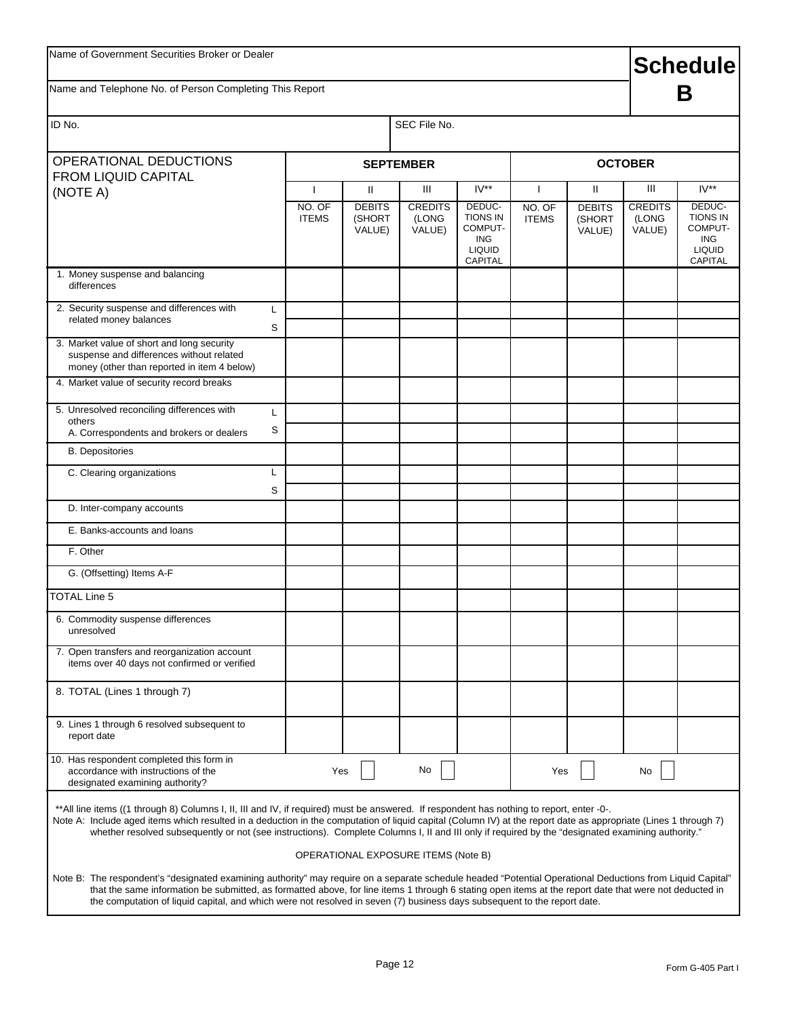| Name and Telephone No. of Person Completing This Report                                                                                                                                                                                                                                                                                                                                                                                                           |        |                        |                                   |                                     |                                                                         |                        |                                   |                                   | <b>Schedule</b><br>В                                                                  |
|-------------------------------------------------------------------------------------------------------------------------------------------------------------------------------------------------------------------------------------------------------------------------------------------------------------------------------------------------------------------------------------------------------------------------------------------------------------------|--------|------------------------|-----------------------------------|-------------------------------------|-------------------------------------------------------------------------|------------------------|-----------------------------------|-----------------------------------|---------------------------------------------------------------------------------------|
| ID No.                                                                                                                                                                                                                                                                                                                                                                                                                                                            |        |                        |                                   | SEC File No.                        |                                                                         |                        |                                   |                                   |                                                                                       |
| OPERATIONAL DEDUCTIONS                                                                                                                                                                                                                                                                                                                                                                                                                                            |        |                        |                                   | <b>SEPTEMBER</b>                    |                                                                         |                        |                                   | <b>OCTOBER</b>                    |                                                                                       |
| <b>FROM LIQUID CAPITAL</b><br>(NOTE A)                                                                                                                                                                                                                                                                                                                                                                                                                            |        | $\mathbf{I}$           | $\mathbf{H}$                      | Ш                                   | $IV**$                                                                  | T                      | $\mathbf{H}$                      | Ш                                 | $IV**$                                                                                |
|                                                                                                                                                                                                                                                                                                                                                                                                                                                                   |        | NO. OF<br><b>ITEMS</b> | <b>DEBITS</b><br>(SHORT<br>VALUE) | <b>CREDITS</b><br>(LONG<br>VALUE)   | DEDUC-<br><b>TIONS IN</b><br>COMPUT-<br>ING<br><b>LIQUID</b><br>CAPITAL | NO. OF<br><b>ITEMS</b> | <b>DEBITS</b><br>(SHORT<br>VALUE) | <b>CREDITS</b><br>(LONG<br>VALUE) | DEDUC-<br><b>TIONS IN</b><br>COMPUT-<br><b>ING</b><br><b>LIQUID</b><br><b>CAPITAL</b> |
| 1. Money suspense and balancing<br>differences                                                                                                                                                                                                                                                                                                                                                                                                                    |        |                        |                                   |                                     |                                                                         |                        |                                   |                                   |                                                                                       |
| 2. Security suspense and differences with<br>related money balances                                                                                                                                                                                                                                                                                                                                                                                               | L<br>S |                        |                                   |                                     |                                                                         |                        |                                   |                                   |                                                                                       |
| 3. Market value of short and long security<br>suspense and differences without related<br>money (other than reported in item 4 below)                                                                                                                                                                                                                                                                                                                             |        |                        |                                   |                                     |                                                                         |                        |                                   |                                   |                                                                                       |
| 4. Market value of security record breaks                                                                                                                                                                                                                                                                                                                                                                                                                         |        |                        |                                   |                                     |                                                                         |                        |                                   |                                   |                                                                                       |
| 5. Unresolved reconciling differences with<br>others                                                                                                                                                                                                                                                                                                                                                                                                              | L<br>S |                        |                                   |                                     |                                                                         |                        |                                   |                                   |                                                                                       |
| A. Correspondents and brokers or dealers<br><b>B.</b> Depositories                                                                                                                                                                                                                                                                                                                                                                                                |        |                        |                                   |                                     |                                                                         |                        |                                   |                                   |                                                                                       |
| C. Clearing organizations                                                                                                                                                                                                                                                                                                                                                                                                                                         | L      |                        |                                   |                                     |                                                                         |                        |                                   |                                   |                                                                                       |
|                                                                                                                                                                                                                                                                                                                                                                                                                                                                   | S      |                        |                                   |                                     |                                                                         |                        |                                   |                                   |                                                                                       |
| D. Inter-company accounts                                                                                                                                                                                                                                                                                                                                                                                                                                         |        |                        |                                   |                                     |                                                                         |                        |                                   |                                   |                                                                                       |
| E. Banks-accounts and loans                                                                                                                                                                                                                                                                                                                                                                                                                                       |        |                        |                                   |                                     |                                                                         |                        |                                   |                                   |                                                                                       |
| F. Other                                                                                                                                                                                                                                                                                                                                                                                                                                                          |        |                        |                                   |                                     |                                                                         |                        |                                   |                                   |                                                                                       |
| G. (Offsetting) Items A-F                                                                                                                                                                                                                                                                                                                                                                                                                                         |        |                        |                                   |                                     |                                                                         |                        |                                   |                                   |                                                                                       |
| TOTAL Line 5                                                                                                                                                                                                                                                                                                                                                                                                                                                      |        |                        |                                   |                                     |                                                                         |                        |                                   |                                   |                                                                                       |
| 6. Commodity suspense differences<br>unresolved                                                                                                                                                                                                                                                                                                                                                                                                                   |        |                        |                                   |                                     |                                                                         |                        |                                   |                                   |                                                                                       |
| 7. Open transfers and reorganization account<br>items over 40 days not confirmed or verified                                                                                                                                                                                                                                                                                                                                                                      |        |                        |                                   |                                     |                                                                         |                        |                                   |                                   |                                                                                       |
| 8. TOTAL (Lines 1 through 7)                                                                                                                                                                                                                                                                                                                                                                                                                                      |        |                        |                                   |                                     |                                                                         |                        |                                   |                                   |                                                                                       |
| 9. Lines 1 through 6 resolved subsequent to<br>report date                                                                                                                                                                                                                                                                                                                                                                                                        |        |                        |                                   |                                     |                                                                         |                        |                                   |                                   |                                                                                       |
| 10. Has respondent completed this form in<br>accordance with instructions of the<br>designated examining authority?                                                                                                                                                                                                                                                                                                                                               |        | Yes                    |                                   | No                                  |                                                                         | Yes                    |                                   | No                                |                                                                                       |
| **All line items ((1 through 8) Columns I, II, III and IV, if required) must be answered. If respondent has nothing to report, enter -0-.<br>Note A: Include aged items which resulted in a deduction in the computation of liquid capital (Column IV) at the report date as appropriate (Lines 1 through 7)<br>whether resolved subsequently or not (see instructions). Complete Columns I, II and III only if required by the "designated examining authority." |        |                        |                                   |                                     |                                                                         |                        |                                   |                                   |                                                                                       |
|                                                                                                                                                                                                                                                                                                                                                                                                                                                                   |        |                        |                                   | OPERATIONAL EXPOSURE ITEMS (Note B) |                                                                         |                        |                                   |                                   |                                                                                       |
| Note B: The respondent's "designated examining authority" may require on a separate schedule headed "Potential Operational Deductions from Liquid Capital"<br>that the same information be submitted, as formatted above, for line items 1 through 6 stating open items at the report date that were not deducted in<br>the computation of liquid capital, and which were not resolved in seven (7) business days subsequent to the report date.                  |        |                        |                                   |                                     |                                                                         |                        |                                   |                                   |                                                                                       |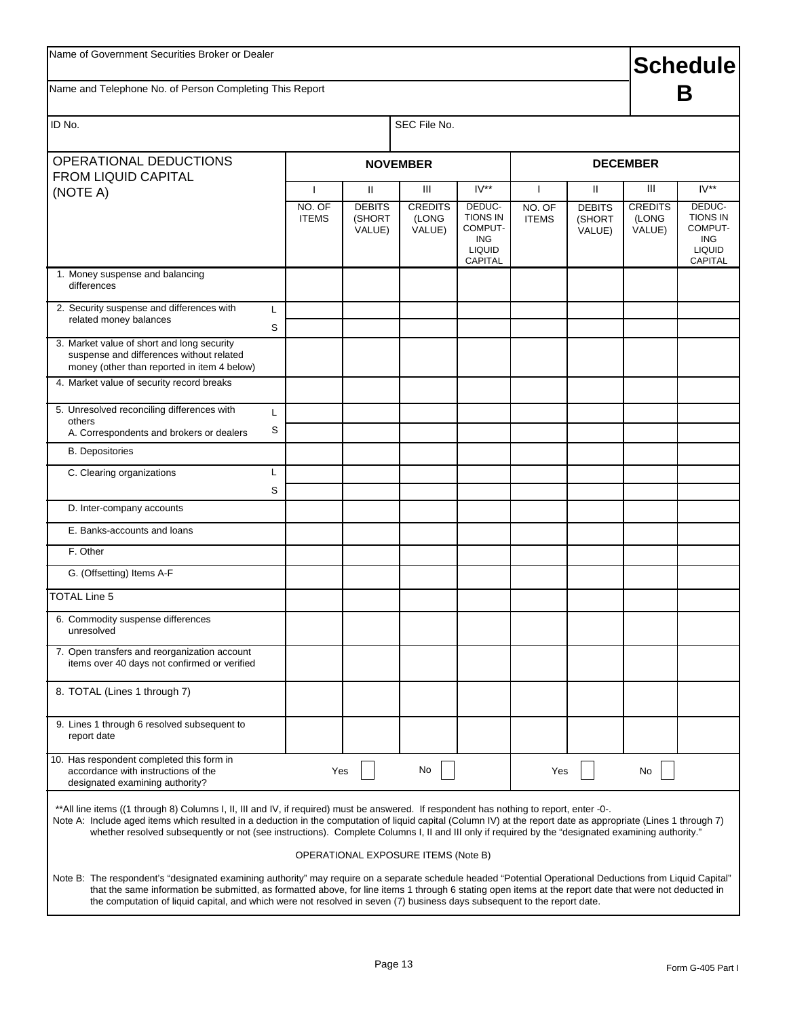# **Schedule**

Name and Telephone No. of Person Completing This Report

# **B**

| ID No.                                                                                                                                                                                                                                                                                                                                                                                                                                                            |                                        |                                                   | SEC File No.                           |                                                                                          |                                        |                                        |                                        |                                                                                                 |
|-------------------------------------------------------------------------------------------------------------------------------------------------------------------------------------------------------------------------------------------------------------------------------------------------------------------------------------------------------------------------------------------------------------------------------------------------------------------|----------------------------------------|---------------------------------------------------|----------------------------------------|------------------------------------------------------------------------------------------|----------------------------------------|----------------------------------------|----------------------------------------|-------------------------------------------------------------------------------------------------|
| OPERATIONAL DEDUCTIONS                                                                                                                                                                                                                                                                                                                                                                                                                                            |                                        |                                                   | <b>NOVEMBER</b>                        |                                                                                          |                                        |                                        | <b>DECEMBER</b>                        |                                                                                                 |
| <b>FROM LIQUID CAPITAL</b>                                                                                                                                                                                                                                                                                                                                                                                                                                        |                                        |                                                   |                                        |                                                                                          |                                        |                                        |                                        |                                                                                                 |
| (NOTE A)                                                                                                                                                                                                                                                                                                                                                                                                                                                          | $\mathbf{I}$<br>NO. OF<br><b>ITEMS</b> | $\mathbf{H}$<br><b>DEBITS</b><br>(SHORT<br>VALUE) | Ш<br><b>CREDITS</b><br>(LONG<br>VALUE) | $IV**$<br>DEDUC-<br><b>TIONS IN</b><br>COMPUT-<br><b>ING</b><br><b>LIQUID</b><br>CAPITAL | $\mathbf{I}$<br>NO. OF<br><b>ITEMS</b> | Ш<br><b>DEBITS</b><br>(SHORT<br>VALUE) | Ш<br><b>CREDITS</b><br>(LONG<br>VALUE) | $IV**$<br>DEDUC-<br><b>TIONS IN</b><br>COMPUT-<br><b>ING</b><br><b>LIQUID</b><br><b>CAPITAL</b> |
| 1. Money suspense and balancing<br>differences                                                                                                                                                                                                                                                                                                                                                                                                                    |                                        |                                                   |                                        |                                                                                          |                                        |                                        |                                        |                                                                                                 |
| 2. Security suspense and differences with<br>L<br>related money balances<br>S                                                                                                                                                                                                                                                                                                                                                                                     |                                        |                                                   |                                        |                                                                                          |                                        |                                        |                                        |                                                                                                 |
| 3. Market value of short and long security<br>suspense and differences without related<br>money (other than reported in item 4 below)                                                                                                                                                                                                                                                                                                                             |                                        |                                                   |                                        |                                                                                          |                                        |                                        |                                        |                                                                                                 |
| 4. Market value of security record breaks                                                                                                                                                                                                                                                                                                                                                                                                                         |                                        |                                                   |                                        |                                                                                          |                                        |                                        |                                        |                                                                                                 |
| 5. Unresolved reconciling differences with<br>L<br>others<br>S<br>A. Correspondents and brokers or dealers                                                                                                                                                                                                                                                                                                                                                        |                                        |                                                   |                                        |                                                                                          |                                        |                                        |                                        |                                                                                                 |
| <b>B.</b> Depositories                                                                                                                                                                                                                                                                                                                                                                                                                                            |                                        |                                                   |                                        |                                                                                          |                                        |                                        |                                        |                                                                                                 |
| C. Clearing organizations<br>L<br>S                                                                                                                                                                                                                                                                                                                                                                                                                               |                                        |                                                   |                                        |                                                                                          |                                        |                                        |                                        |                                                                                                 |
| D. Inter-company accounts                                                                                                                                                                                                                                                                                                                                                                                                                                         |                                        |                                                   |                                        |                                                                                          |                                        |                                        |                                        |                                                                                                 |
| E. Banks-accounts and loans                                                                                                                                                                                                                                                                                                                                                                                                                                       |                                        |                                                   |                                        |                                                                                          |                                        |                                        |                                        |                                                                                                 |
| F. Other                                                                                                                                                                                                                                                                                                                                                                                                                                                          |                                        |                                                   |                                        |                                                                                          |                                        |                                        |                                        |                                                                                                 |
| G. (Offsetting) Items A-F                                                                                                                                                                                                                                                                                                                                                                                                                                         |                                        |                                                   |                                        |                                                                                          |                                        |                                        |                                        |                                                                                                 |
| <b>TOTAL Line 5</b>                                                                                                                                                                                                                                                                                                                                                                                                                                               |                                        |                                                   |                                        |                                                                                          |                                        |                                        |                                        |                                                                                                 |
| 6. Commodity suspense differences<br>unresolved                                                                                                                                                                                                                                                                                                                                                                                                                   |                                        |                                                   |                                        |                                                                                          |                                        |                                        |                                        |                                                                                                 |
| 7. Open transfers and reorganization account<br>items over 40 days not confirmed or verified                                                                                                                                                                                                                                                                                                                                                                      |                                        |                                                   |                                        |                                                                                          |                                        |                                        |                                        |                                                                                                 |
| 8. TOTAL (Lines 1 through 7)                                                                                                                                                                                                                                                                                                                                                                                                                                      |                                        |                                                   |                                        |                                                                                          |                                        |                                        |                                        |                                                                                                 |
| 9. Lines 1 through 6 resolved subsequent to<br>report date                                                                                                                                                                                                                                                                                                                                                                                                        |                                        |                                                   |                                        |                                                                                          |                                        |                                        |                                        |                                                                                                 |
| 10. Has respondent completed this form in<br>accordance with instructions of the<br>designated examining authority?                                                                                                                                                                                                                                                                                                                                               | Yes                                    |                                                   | No                                     |                                                                                          | Yes                                    |                                        | No                                     |                                                                                                 |
| **All line items ((1 through 8) Columns I, II, III and IV, if required) must be answered. If respondent has nothing to report, enter -0-.<br>Note A: Include aged items which resulted in a deduction in the computation of liquid capital (Column IV) at the report date as appropriate (Lines 1 through 7)<br>whether resolved subsequently or not (see instructions). Complete Columns I, II and III only if required by the "designated examining authority." |                                        |                                                   |                                        |                                                                                          |                                        |                                        |                                        |                                                                                                 |
|                                                                                                                                                                                                                                                                                                                                                                                                                                                                   |                                        |                                                   | OPERATIONAL EXPOSURE ITEMS (Note B)    |                                                                                          |                                        |                                        |                                        |                                                                                                 |
| Note B: The respondent's "designated examining authority" may require on a separate schedule headed "Potential Operational Deductions from Liquid Capital"<br>that the same information be submitted, as formatted above, for line items 1 through 6 stating open items at the report date that were not deducted in<br>the computation of liquid capital, and which were not resolved in seven (7) business days subsequent to the report date.                  |                                        |                                                   |                                        |                                                                                          |                                        |                                        |                                        |                                                                                                 |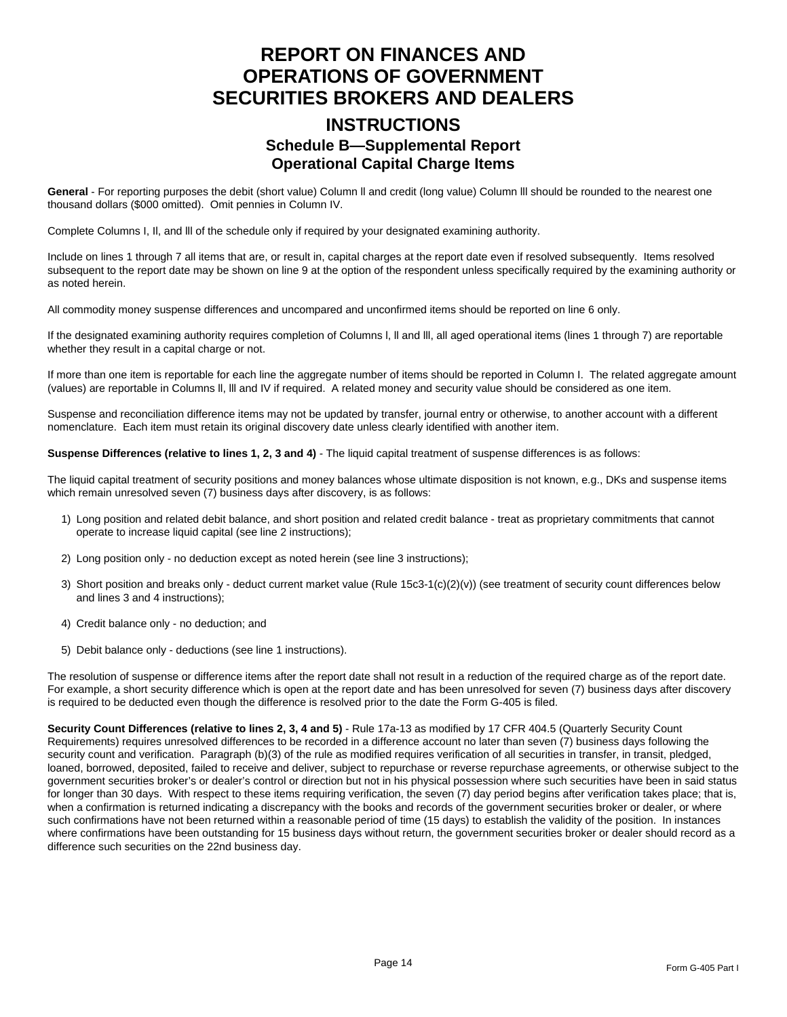### **REPORT ON FINANCES AND OPERATIONS OF GOVERNMENT SECURITIES BROKERS AND DEALERS**

### **INSTRUCTIONS Schedule B—Supplemental Report Operational Capital Charge Items**

**General** - For reporting purposes the debit (short value) Column ll and credit (long value) Column lll should be rounded to the nearest one thousand dollars (\$000 omitted). Omit pennies in Column IV.

Complete Columns I, Il, and lll of the schedule only if required by your designated examining authority.

Include on lines 1 through 7 all items that are, or result in, capital charges at the report date even if resolved subsequently. Items resolved subsequent to the report date may be shown on line 9 at the option of the respondent unless specifically required by the examining authority or as noted herein.

All commodity money suspense differences and uncompared and unconfirmed items should be reported on line 6 only.

If the designated examining authority requires completion of Columns l, ll and lll, all aged operational items (lines 1 through 7) are reportable whether they result in a capital charge or not.

If more than one item is reportable for each line the aggregate number of items should be reported in Column I. The related aggregate amount (values) are reportable in Columns ll, lll and IV if required. A related money and security value should be considered as one item.

Suspense and reconciliation difference items may not be updated by transfer, journal entry or otherwise, to another account with a different nomenclature. Each item must retain its original discovery date unless clearly identified with another item.

**Suspense Differences (relative to lines 1, 2, 3 and 4)** - The liquid capital treatment of suspense differences is as follows:

The liquid capital treatment of security positions and money balances whose ultimate disposition is not known, e.g., DKs and suspense items which remain unresolved seven (7) business days after discovery, is as follows:

- 1) Long position and related debit balance, and short position and related credit balance treat as proprietary commitments that cannot operate to increase liquid capital (see line 2 instructions);
- 2) Long position only no deduction except as noted herein (see line 3 instructions);
- 3) Short position and breaks only deduct current market value (Rule 15c3-1(c)(2)(v)) (see treatment of security count differences below and lines 3 and 4 instructions);
- 4) Credit balance only no deduction; and
- 5) Debit balance only deductions (see line 1 instructions).

The resolution of suspense or difference items after the report date shall not result in a reduction of the required charge as of the report date. For example, a short security difference which is open at the report date and has been unresolved for seven (7) business days after discovery is required to be deducted even though the difference is resolved prior to the date the Form G-405 is filed.

**Security Count Differences (relative to lines 2, 3, 4 and 5)** - Rule 17a-13 as modified by 17 CFR 404.5 (Quarterly Security Count Requirements) requires unresolved differences to be recorded in a difference account no later than seven (7) business days following the security count and verification. Paragraph (b)(3) of the rule as modified requires verification of all securities in transfer, in transit, pledged, loaned, borrowed, deposited, failed to receive and deliver, subject to repurchase or reverse repurchase agreements, or otherwise subject to the government securities broker's or dealer's control or direction but not in his physical possession where such securities have been in said status for longer than 30 days. With respect to these items requiring verification, the seven (7) day period begins after verification takes place; that is, when a confirmation is returned indicating a discrepancy with the books and records of the government securities broker or dealer, or where such confirmations have not been returned within a reasonable period of time (15 days) to establish the validity of the position. In instances where confirmations have been outstanding for 15 business days without return, the government securities broker or dealer should record as a difference such securities on the 22nd business day.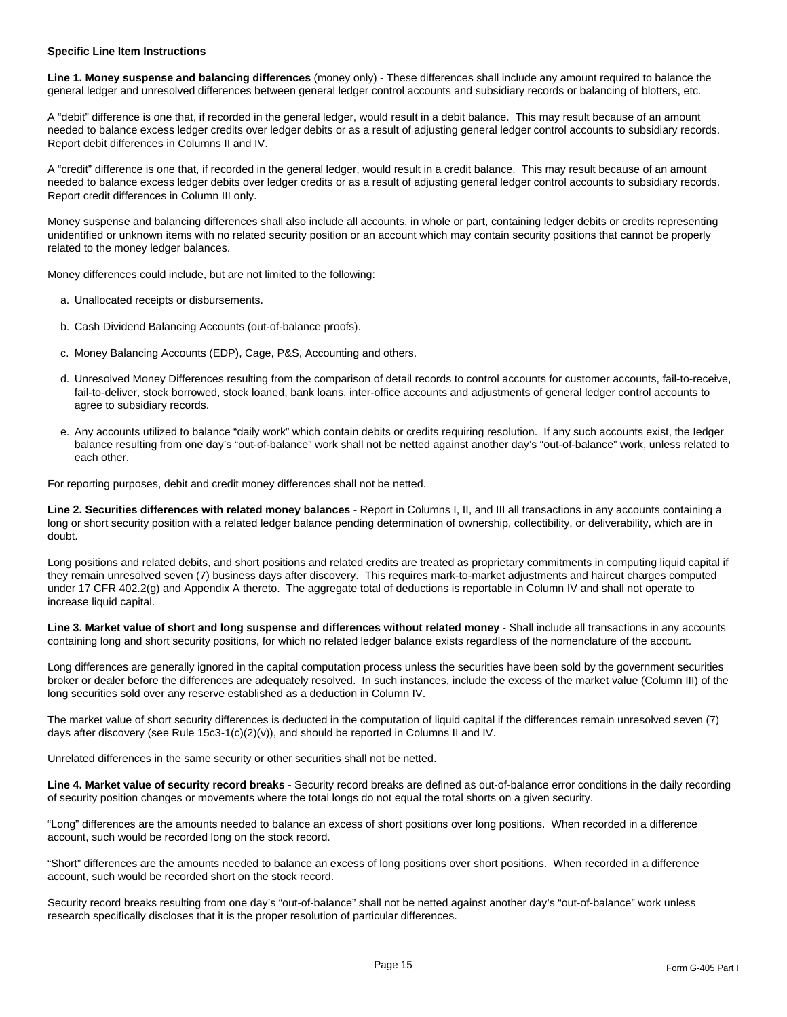#### **Specific Line Item Instructions**

**Line 1. Money suspense and balancing differences** (money only) - These differences shall include any amount required to balance the general ledger and unresolved differences between general ledger control accounts and subsidiary records or balancing of blotters, etc.

A "debit" difference is one that, if recorded in the general ledger, would result in a debit balance. This may result because of an amount needed to balance excess ledger credits over ledger debits or as a result of adjusting general ledger control accounts to subsidiary records. Report debit differences in Columns II and IV.

A "credit" difference is one that, if recorded in the general ledger, would result in a credit balance. This may result because of an amount needed to balance excess ledger debits over ledger credits or as a result of adjusting general ledger control accounts to subsidiary records. Report credit differences in Column III only.

Money suspense and balancing differences shall also include all accounts, in whole or part, containing ledger debits or credits representing unidentified or unknown items with no related security position or an account which may contain security positions that cannot be properly related to the money ledger balances.

Money differences could include, but are not limited to the following:

- a. Unallocated receipts or disbursements.
- b. Cash Dividend Balancing Accounts (out-of-balance proofs).
- c. Money Balancing Accounts (EDP), Cage, P&S, Accounting and others.
- d. Unresolved Money Differences resulting from the comparison of detail records to control accounts for customer accounts, fail-to-receive, fail-to-deliver, stock borrowed, stock loaned, bank loans, inter-office accounts and adjustments of general ledger control accounts to agree to subsidiary records.
- e. Any accounts utilized to balance "daily work" which contain debits or credits requiring resolution. If any such accounts exist, the Iedger balance resulting from one day's "out-of-balance" work shall not be netted against another day's "out-of-balance" work, unless related to each other.

For reporting purposes, debit and credit money differences shall not be netted.

**Line 2. Securities differences with related money balances** - Report in Columns I, II, and III all transactions in any accounts containing a long or short security position with a related ledger balance pending determination of ownership, collectibility, or deliverability, which are in doubt.

Long positions and related debits, and short positions and related credits are treated as proprietary commitments in computing liquid capital if they remain unresolved seven (7) business days after discovery. This requires mark-to-market adjustments and haircut charges computed under 17 CFR 402.2(g) and Appendix A thereto. The aggregate total of deductions is reportable in Column IV and shall not operate to increase liquid capital.

Line 3. Market value of short and long suspense and differences without related money - Shall include all transactions in any accounts containing long and short security positions, for which no related ledger balance exists regardless of the nomenclature of the account.

Long differences are generally ignored in the capital computation process unless the securities have been sold by the government securities broker or dealer before the differences are adequately resolved. In such instances, include the excess of the market value (Column III) of the long securities sold over any reserve established as a deduction in Column IV.

The market value of short security differences is deducted in the computation of liquid capital if the differences remain unresolved seven (7) days after discovery (see Rule 15c3-1(c)(2)(v)), and should be reported in Columns II and IV.

Unrelated differences in the same security or other securities shall not be netted.

**Line 4. Market value of security record breaks** - Security record breaks are defined as out-of-balance error conditions in the daily recording of security position changes or movements where the total longs do not equal the total shorts on a given security.

"Long" differences are the amounts needed to balance an excess of short positions over long positions. When recorded in a difference account, such would be recorded long on the stock record.

"Short" differences are the amounts needed to balance an excess of long positions over short positions. When recorded in a difference account, such would be recorded short on the stock record.

Security record breaks resulting from one day's "out-of-balance" shall not be netted against another day's "out-of-balance" work unless research specifically discloses that it is the proper resolution of particular differences.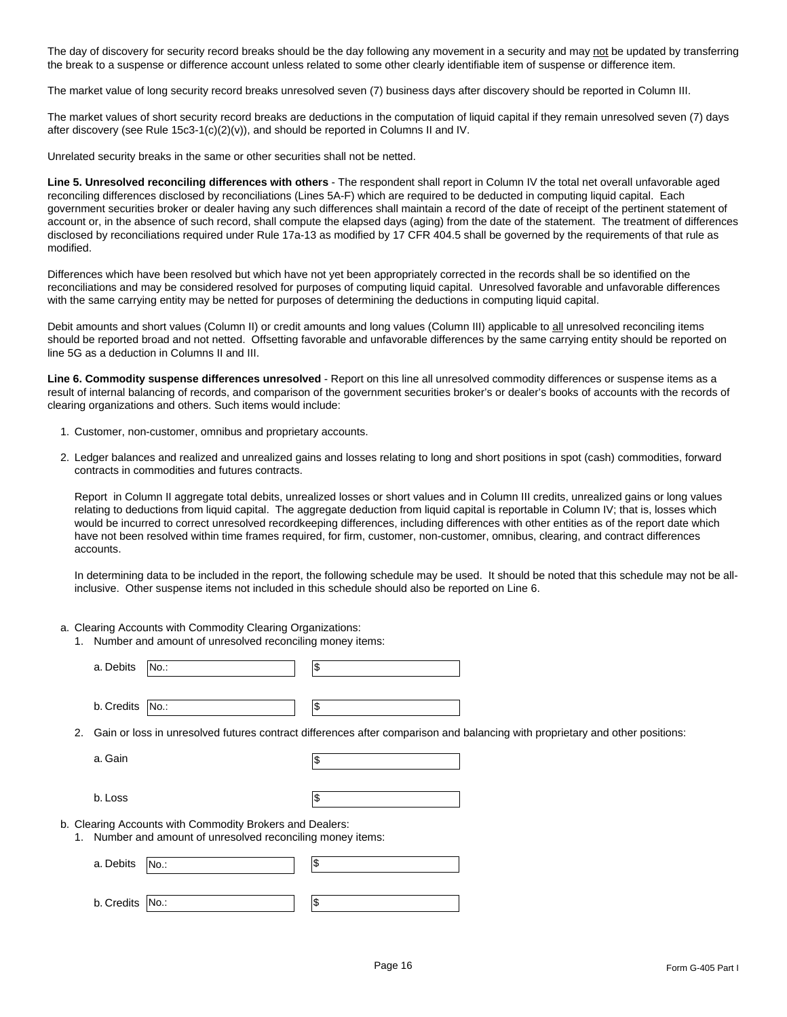The day of discovery for security record breaks should be the day following any movement in a security and may not be updated by transferring the break to a suspense or difference account unless related to some other clearly identifiable item of suspense or difference item.

The market value of long security record breaks unresolved seven (7) business days after discovery should be reported in Column III.

The market values of short security record breaks are deductions in the computation of liquid capital if they remain unresolved seven (7) days after discovery (see Rule  $15c3-1(c)(2)(v)$ ), and should be reported in Columns II and IV.

Unrelated security breaks in the same or other securities shall not be netted.

**Line 5. Unresolved reconciling differences with others** - The respondent shall report in Column IV the total net overall unfavorable aged reconciling differences disclosed by reconciliations (Lines 5A-F) which are required to be deducted in computing liquid capital. Each government securities broker or dealer having any such differences shall maintain a record of the date of receipt of the pertinent statement of account or, in the absence of such record, shall compute the elapsed days (aging) from the date of the statement. The treatment of differences disclosed by reconciliations required under Rule 17a-13 as modified by 17 CFR 404.5 shall be governed by the requirements of that rule as modified.

Differences which have been resolved but which have not yet been appropriately corrected in the records shall be so identified on the reconciliations and may be considered resolved for purposes of computing liquid capital. Unresolved favorable and unfavorable differences with the same carrying entity may be netted for purposes of determining the deductions in computing liquid capital.

Debit amounts and short values (Column II) or credit amounts and long values (Column III) applicable to all unresolved reconciling items should be reported broad and not netted. Offsetting favorable and unfavorable differences by the same carrying entity should be reported on line 5G as a deduction in Columns II and III.

**Line 6. Commodity suspense differences unresolved** - Report on this line all unresolved commodity differences or suspense items as a result of internal balancing of records, and comparison of the government securities broker's or dealer's books of accounts with the records of clearing organizations and others. Such items would include:

- 1. Customer, non-customer, omnibus and proprietary accounts.
- 2. Ledger balances and realized and unrealized gains and losses relating to long and short positions in spot (cash) commodities, forward contracts in commodities and futures contracts.

Report in Column II aggregate total debits, unrealized losses or short values and in Column III credits, unrealized gains or long values relating to deductions from liquid capital. The aggregate deduction from liquid capital is reportable in Column IV; that is, losses which would be incurred to correct unresolved recordkeeping differences, including differences with other entities as of the report date which have not been resolved within time frames required, for firm, customer, non-customer, omnibus, clearing, and contract differences accounts.

In determining data to be included in the report, the following schedule may be used. It should be noted that this schedule may not be allinclusive. Other suspense items not included in this schedule should also be reported on Line 6.

- a. Clearing Accounts with Commodity Clearing Organizations:
	- 1. Number and amount of unresolved reconciling money items:

|    | a. Debits<br>∣No.∶                                                                                                           | 1\$ |  |  |
|----|------------------------------------------------------------------------------------------------------------------------------|-----|--|--|
|    | b. Credits<br>No.:                                                                                                           | 1\$ |  |  |
| 2. | Gain or loss in unresolved futures contract differences after comparison and balancing with proprietary and other positions: |     |  |  |
|    | a. Gain                                                                                                                      | I\$ |  |  |
|    | b. Loss                                                                                                                      | 1\$ |  |  |
|    | b. Clearing Accounts with Commodity Brokers and Dealers:<br>1. Number and amount of unresolved reconciling money items:      |     |  |  |
|    | a. Debits<br>No.:                                                                                                            | 1\$ |  |  |
|    | b. Credits<br> No.                                                                                                           | 1\$ |  |  |